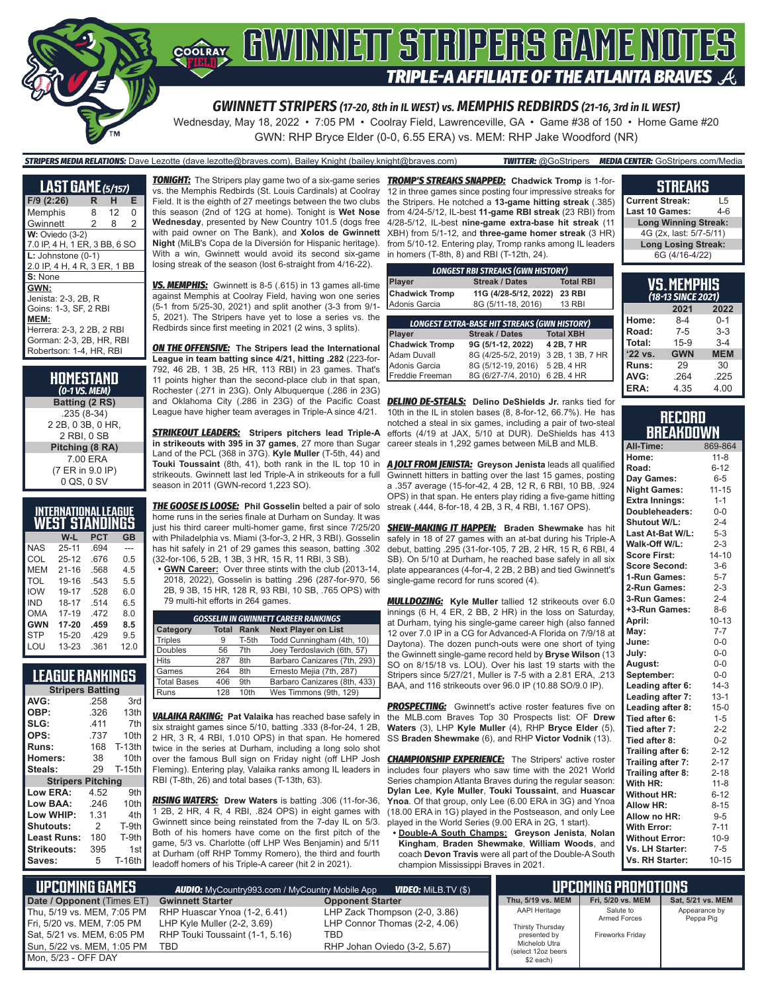

Wednesday, May 18, 2022 • 7:05 PM • Coolray Field, Lawrenceville, GA • Game #38 of 150 • Home Game #20 GWN: RHP Bryce Elder (0-0, 6.55 ERA) vs. MEM: RHP Jake Woodford (NR)

*STRIPERS MEDIA RELATIONS:* Dave Lezotte (dave.lezotte@braves.com), Bailey Knight (bailey.knight@braves.com) *TWITTER:* @GoStripers *MEDIA CENTER:* GoStripers.com/Media

#### **LAST GAME** *(5/157)* **F/9 (2:26) R H E** Memphis Gwinnett 2 8 2 **W:** Oviedo (3-2) 7.0 IP, 4 H, 1 ER, 3 BB, 6 SO **L:** Johnstone (0-1) 2.0 IP, 4 H, 4 R, 3 ER, 1 BB **S:** None **GWN:** Jenista: 2-3, 2B, R Goins: 1-3, SF, 2 RBI **MEM:** Herrera: 2-3, 2 2B, 2 RBI Gorman: 2-3, 2B, HR, RBI Robertson: 1-4, HR, RBI

**HOMESTAND** *(0-1 VS. MEM)* **Batting (2 RS)** .235 (8-34) 2 2B, 0 3B, 0 HR, 2 RBI, 0 SB **Pitching (8 RA)** 7.00 ERA (7 ER in 9.0 IP) 0 QS, 0 SV

|            | INTERNATIONAL LEAGUE  |            |           |
|------------|-----------------------|------------|-----------|
|            | <u>WEST STANDINGS</u> |            |           |
|            | W-L                   | <b>PCT</b> | <b>GB</b> |
| <b>NAS</b> | $25 - 11$             | .694       |           |
| COL        | $25 - 12$             | .676       | 0.5       |
| MEM        | $21 - 16$             | .568       | 4.5       |
| TOL        | 19-16                 | 543        | 5.5       |
| <b>IOW</b> | 19-17                 | .528       | 6.0       |
| IND        | 18-17                 | .514       | 6.5       |
| <b>OMA</b> | $17 - 19$             | .472       | 8.0       |
| <b>GWN</b> | 17-20                 | .459       | 8.5       |
| <b>STP</b> | $15 - 20$             | .429       | 9.5       |
| LOU        | 13-23                 | .361       | 12.0      |

#### **LEAGUE RANKINGS**

| <b>Stripers Batting</b>  |      |               |  |  |  |  |  |
|--------------------------|------|---------------|--|--|--|--|--|
| AVG:                     | .258 | 3rd           |  |  |  |  |  |
| OBP:                     | .326 | 13th          |  |  |  |  |  |
| SLG:                     | .411 | 7th           |  |  |  |  |  |
| OPS:                     | .737 | 10th          |  |  |  |  |  |
| <b>Runs:</b>             | 168  | <b>T-13th</b> |  |  |  |  |  |
| <b>Homers:</b>           | 38   | 10th          |  |  |  |  |  |
| Steals:                  | 29   | <b>T-15th</b> |  |  |  |  |  |
| <b>Stripers Pitching</b> |      |               |  |  |  |  |  |
| Low ERA:                 | 4.52 | 9th           |  |  |  |  |  |
| Low BAA:                 | .246 | 10th          |  |  |  |  |  |
| Low WHIP:                | 1.31 | 4th           |  |  |  |  |  |
| Shutouts:                | 2    | T-9th         |  |  |  |  |  |
| Least Runs:              | 180  | T-9th         |  |  |  |  |  |
| Strikeouts:              | 395  | 1st           |  |  |  |  |  |
| Saves:                   | 5    | T-16th        |  |  |  |  |  |

Mor

vs. the Memphis Redbirds (St. Louis Cardinals) at Coolray Field. It is the eighth of 27 meetings between the two clubs this season (2nd of 12G at home). Tonight is **Wet Nose Wednesday**, presented by New Country 101.5 (dogs free with paid owner on The Bank), and **Xolos de Gwinnett Night** (MiLB's Copa de la Diversión for Hispanic heritage). With a win, Gwinnett would avoid its second six-game losing streak of the season (lost 6-straight from 4/16-22).

*VS. MEMPHIS:* Gwinnett is 8-5 (.615) in 13 games all-time against Memphis at Coolray Field, having won one series (5-1 from 5/25-30, 2021) and split another (3-3 from 9/1- 5, 2021). The Stripers have yet to lose a series vs. the Redbirds since first meeting in 2021 (2 wins, 3 splits).

*ON THE OFFENSIVE:* **The Stripers lead the International League in team batting since 4/21, hitting .282** (223-for-792, 46 2B, 1 3B, 25 HR, 113 RBI) in 23 games. That's 11 points higher than the second-place club in that span, Rochester (.271 in 23G). Only Albuquerque (.286 in 23G) and Oklahoma City (.286 in 23G) of the Pacific Coast League have higher team averages in Triple-A since 4/21.

*STRIKEOUT LEADERS:* **Stripers pitchers lead Triple-A in strikeouts with 395 in 37 games**, 27 more than Sugar Land of the PCL (368 in 37G). **Kyle Muller** (T-5th, 44) and **Touki Toussaint** (8th, 41), both rank in the IL top 10 in strikeouts. Gwinnett last led Triple-A in strikeouts for a full season in 2011 (GWN-record 1,223 SO).

*THE GOOSE IS LOOSE:* **Phil Gosselin** belted a pair of solo home runs in the series finale at Durham on Sunday. It was just his third career multi-homer game, first since 7/25/20 with Philadelphia vs. Miami (3-for-3, 2 HR, 3 RBI). Gosselin has hit safely in 21 of 29 games this season, batting .302 (32-for-106, 5 2B, 1 3B, 3 HR, 15 R, 11 RBI, 3 SB).

**• GWN Career:** Over three stints with the club (2013-14, 2018, 2022), Gosselin is batting .296 (287-for-970, 56 2B, 9 3B, 15 HR, 128 R, 93 RBI, 10 SB, .765 OPS) with 79 multi-hit efforts in 264 games.

| <b>GOSSELIN IN GWINNETT CAREER RANKINGS</b> |              |       |                              |  |  |  |  |  |
|---------------------------------------------|--------------|-------|------------------------------|--|--|--|--|--|
| Category                                    | <b>Total</b> | Rank  | <b>Next Player on List</b>   |  |  |  |  |  |
| <b>Triples</b>                              | 9            | T-5th | Todd Cunningham (4th, 10)    |  |  |  |  |  |
| <b>Doubles</b>                              | 56           | 7th   | Joey Terdoslavich (6th, 57)  |  |  |  |  |  |
| <b>Hits</b>                                 | 287          | 8th   | Barbaro Canizares (7th, 293) |  |  |  |  |  |
| Games                                       | 264          | 8th   | Ernesto Mejia (7th, 287)     |  |  |  |  |  |
| <b>Total Bases</b>                          | 406          | 9th   | Barbaro Canizares (8th, 433) |  |  |  |  |  |
| Runs                                        | 128          | 10th  | Wes Timmons (9th, 129)       |  |  |  |  |  |

*VALAIKA RAKING:* **Pat Valaika** has reached base safely in six straight games since 5/10, batting .333 (8-for-24, 1 2B, 2 HR, 3 R, 4 RBI, 1.010 OPS) in that span. He homered twice in the series at Durham, including a long solo shot over the famous Bull sign on Friday night (off LHP Josh Fleming). Entering play, Valaika ranks among IL leaders in RBI (T-8th, 26) and total bases (T-13th, 63).

*RISING WATERS:* **Drew Waters** is batting .306 (11-for-36, 1 2B, 2 HR, 4 R, 4 RBI, .824 OPS) in eight games with Gwinnett since being reinstated from the 7-day IL on 5/3. Both of his homers have come on the first pitch of the game, 5/3 vs. Charlotte (off LHP Wes Benjamin) and 5/11 at Durham (off RHP Tommy Romero), the third and fourth leadoff homers of his Triple-A career (hit 2 in 2021).

*TONIGHT:* The Stripers play game two of a six-game series *TROMP'S STREAKS SNAPPED:* **Chadwick Tromp** is 1-for-12 in three games since posting four impressive streaks for the Stripers. He notched a **13-game hitting streak** (.385) from 4/24-5/12, IL-best **11-game RBI streak** (23 RBI) from 4/28-5/12, IL-best **nine-game extra-base hit streak** (11 XBH) from 5/1-12, and **three-game homer streak** (3 HR) from 5/10-12. Entering play, Tromp ranks among IL leaders in homers (T-8th, 8) and RBI (T-12th, 24).

| <b>LONGEST RBI STREAKS (GWN HISTORY)</b>            |                       |                  |  |  |  |  |  |
|-----------------------------------------------------|-----------------------|------------------|--|--|--|--|--|
| <b>Player</b>                                       | <b>Total RBI</b>      |                  |  |  |  |  |  |
| <b>Chadwick Tromp</b>                               | 11G (4/28-5/12, 2022) | <b>23 RBI</b>    |  |  |  |  |  |
| Adonis Garcia                                       | <b>13 RBI</b>         |                  |  |  |  |  |  |
| <b>LONGEST EXTRA-BASE HIT STREAKS (GWN HISTORY)</b> |                       |                  |  |  |  |  |  |
|                                                     |                       |                  |  |  |  |  |  |
| Player                                              | <b>Streak / Dates</b> | <b>Total XBH</b> |  |  |  |  |  |
| <b>Chadwick Tromp</b>                               | 9G (5/1-12, 2022)     | 4 2B, 7 HR       |  |  |  |  |  |
| Adam Duvall                                         | 8G (4/25-5/2, 2019)   | 3 2B, 1 3B, 7 HR |  |  |  |  |  |
| Adonis Garcia                                       | 8G (5/12-19, 2016)    | 5 2B, 4 HR       |  |  |  |  |  |
| Freddie Freeman                                     | 8G (6/27-7/4, 2010)   | 6 2B, 4 HR       |  |  |  |  |  |

**DELINO DE-STEALS:** Delino DeShields Jr. ranks tied for 10th in the IL in stolen bases (8, 8-for-12, 66.7%). He has notched a steal in six games, including a pair of two-steal efforts (4/19 at JAX, 5/10 at DUR). DeShields has 413 career steals in 1,292 games between MiLB and MLB.

*A JOLT FROM JENISTA:* **Greyson Jenista** leads all qualified Gwinnett hitters in batting over the last 15 games, posting a .357 average (15-for-42, 4 2B, 12 R, 6 RBI, 10 BB, .924 OPS) in that span. He enters play riding a five-game hitting streak (.444, 8-for-18, 4 2B, 3 R, 4 RBI, 1.167 OPS).

*SHEW-MAKING IT HAPPEN:* **Braden Shewmake** has hit safely in 18 of 27 games with an at-bat during his Triple-A debut, batting .295 (31-for-105, 7 2B, 2 HR, 15 R, 6 RBI, 4 SB). On 5/10 at Durham, he reached base safely in all six plate appearances (4-for-4, 2 2B, 2 BB) and tied Gwinnett's single-game record for runs scored (4).

*MULLDOZING:* **Kyle Muller** tallied 12 strikeouts over 6.0 innings (6 H, 4 ER, 2 BB, 2 HR) in the loss on Saturday, at Durham, tying his single-game career high (also fanned 12 over 7.0 IP in a CG for Advanced-A Florida on 7/9/18 at Daytona). The dozen punch-outs were one short of tying the Gwinnett single-game record held by **Bryse Wilson** (13 SO on 8/15/18 vs. LOU). Over his last 19 starts with the Stripers since 5/27/21, Muller is 7-5 with a 2.81 ERA, .213 BAA, and 116 strikeouts over 96.0 IP (10.88 SO/9.0 IP).

**PROSPECTING:** Gwinnett's active roster features five on the MLB.com Braves Top 30 Prospects list: OF **Drew Waters** (3), LHP **Kyle Muller** (4), RHP **Bryce Elder** (5), SS **Braden Shewmake** (6), and RHP **Victor Vodnik** (13).

**CHAMPIONSHIP EXPERIENCE:** The Stripers' active roster includes four players who saw time with the 2021 World Series champion Atlanta Braves during the regular season: **Dylan Lee**, **Kyle Muller**, **Touki Toussaint**, and **Huascar Ynoa**. Of that group, only Lee (6.00 ERA in 3G) and Ynoa (18.00 ERA in 1G) played in the Postseason, and only Lee played in the World Series (9.00 ERA in 2G, 1 start).

**• Double-A South Champs: Greyson Jenista**, **Nolan Kingham**, **Braden Shewmake**, **William Woods**, and coach **Devon Travis** were all part of the Double-A South champion Mississippi Braves in 2021.

#### **STREAKS**

**Current Streak:** L5 **Last 10 Games: Long Winning Streak:** 4G (2x, last: 5/7-5/11) **Long Losing Streak:** 6G (4/16-4/22)

| VS.MEMPHIS<br>(18-13 SINCE 2021) |            |            |  |  |  |  |  |  |  |
|----------------------------------|------------|------------|--|--|--|--|--|--|--|
| 2022<br>2021                     |            |            |  |  |  |  |  |  |  |
| Home:                            | 8-4        | $0 - 1$    |  |  |  |  |  |  |  |
| Road:                            | $7 - 5$    | $3-3$      |  |  |  |  |  |  |  |
| Total:                           | $15-9$     | $3-4$      |  |  |  |  |  |  |  |
| '22 vs.                          | <b>GWN</b> | <b>MEM</b> |  |  |  |  |  |  |  |
| <b>Runs:</b>                     | 29         | 30         |  |  |  |  |  |  |  |
| AVG:                             | .264       | .225       |  |  |  |  |  |  |  |
| ERA:                             | 4.35       | 4.00       |  |  |  |  |  |  |  |

#### **RECORD BREAKDOWN**

| All-Time:             | 869-864   |
|-----------------------|-----------|
| Home:                 | $11 - 8$  |
| Road:                 | $6 - 12$  |
| Day Games:            | $6-5$     |
| <b>Night Games:</b>   | $11 - 15$ |
| <b>Extra Innings:</b> | $1 - 1$   |
| Doubleheaders:        | $0-0$     |
| Shutout W/L:          | $2 - 4$   |
| Last At-Bat W/L:      | $5 - 3$   |
| Walk-Off W/L:         | $2 - 3$   |
| <b>Score First:</b>   | $14 - 10$ |
| <b>Score Second:</b>  | $3-6$     |
| 1-Run Games:          | $5 - 7$   |
| 2-Run Games:          | $2 - 3$   |
| 3-Run Games:          | $2 - 4$   |
| +3-Run Games:         | $8 - 6$   |
| April:                | $10 - 13$ |
| May:                  | $7 - 7$   |
| June:                 | $0-0$     |
| July:                 | $0-0$     |
| August:               | $0-0$     |
| September:            | $0-0$     |
| Leading after 6:      | $14-3$    |
| Leading after 7:      | $13 - 1$  |
| Leading after 8:      | $15 - 0$  |
| Tied after 6:         | $1 - 5$   |
| Tied after 7:         | $2 - 2$   |
| Tied after 8:         | $0 - 2$   |
| Trailing after 6:     | $2 - 12$  |
| Trailing after 7:     | $2 - 17$  |
| Trailing after 8:     | $2 - 18$  |
| With HR:              | $11 - 8$  |
| <b>Without HR:</b>    | $6 - 12$  |
| <b>Allow HR:</b>      | $8 - 15$  |
| Allow no HR:          | $9-5$     |
| <b>With Error:</b>    | $7 - 11$  |
| <b>Without Error:</b> | $10 - 9$  |
| Vs. LH Starter:       | $7 - 5$   |
| Vs. RH Starter:       | $10 - 15$ |

| L UPCOMIÑG GAMES <b>!</b>  | <b>AUDIO:</b> MyCountry993.com / MyCountry Mobile App |                               | UPCOMING PROMOTIONS                 |                         |                   |
|----------------------------|-------------------------------------------------------|-------------------------------|-------------------------------------|-------------------------|-------------------|
| Date / Opponent (Times ET) | <b>Gwinnett Starter</b>                               | <b>Opponent Starter</b>       | Thu. 5/19 vs. MEM                   | Fri, 5/20 vs. MEM       | Sat. 5/21 vs. MEM |
| Thu, 5/19 vs. MEM, 7:05 PM | RHP Huascar Ynoa (1-2, 6.41)                          | LHP Zack Thompson (2-0, 3.86) | AAPI Heritage                       | Salute to               | Appearance by     |
| Fri, 5/20 vs. MEM, 7:05 PM | LHP Kyle Muller (2-2, 3.69)                           | LHP Connor Thomas (2-2, 4.06) | Thirsty Thursday                    | <b>Armed Forces</b>     | Peppa Pig         |
| Sat, 5/21 vs. MEM, 6:05 PM | RHP Touki Toussaint (1-1, 5.16)                       | TBD                           | presented by                        | <b>Fireworks Friday</b> |                   |
| Sun, 5/22 vs. MEM, 1:05 PM | TBD                                                   | RHP Johan Oviedo (3-2, 5.67)  | Michelob Utra<br>(select 12oz beers |                         |                   |
| Mon. 5/23 - OFF DAY        |                                                       |                               | \$2 each)                           |                         |                   |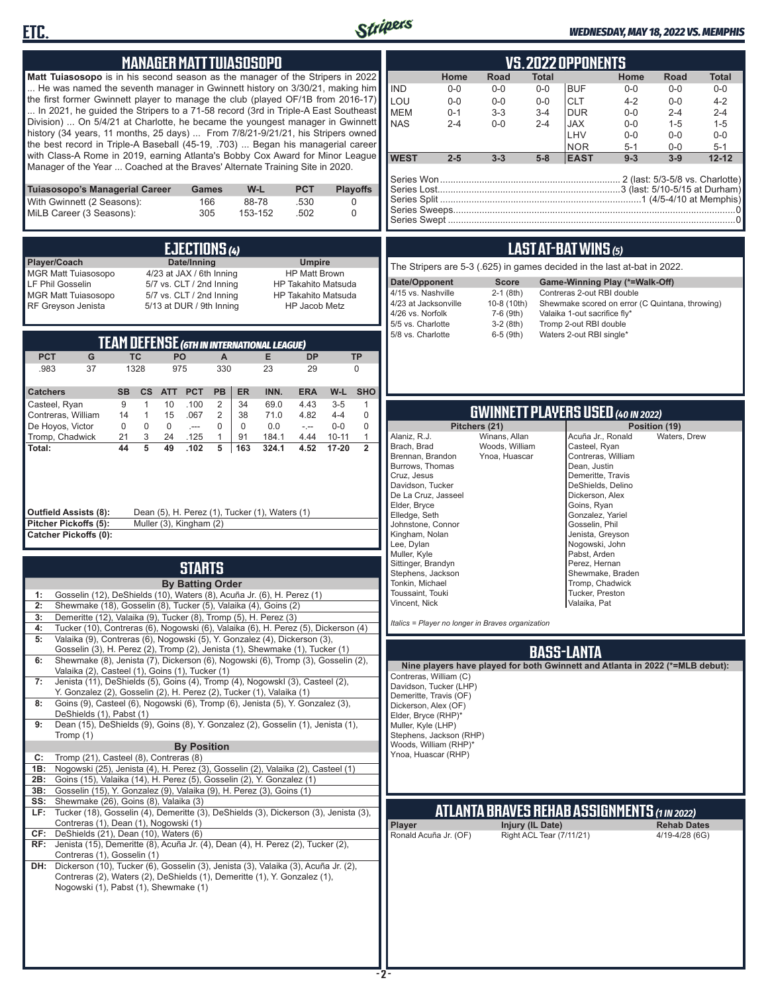



### *WEDNESDAY, MAY 18, 2022 VS. MEMPHIS*

| <b>MANAGER MATT TUIASOSOPO</b>                                                                                                                                                                                                                                                                                                                                                                                                                                                                                                                                                                                                                                                                                                                                                                                                                                                                                                                                                                                                                                                                                                     |                                                                                                                                           |                                                                                                                                                                                                                            |                                                                                                                                                   |                                                               | <b>VS.2022 OPPONENTS</b>                                                                                                                                                                                                    |                                                                             |                                                                                         |
|------------------------------------------------------------------------------------------------------------------------------------------------------------------------------------------------------------------------------------------------------------------------------------------------------------------------------------------------------------------------------------------------------------------------------------------------------------------------------------------------------------------------------------------------------------------------------------------------------------------------------------------------------------------------------------------------------------------------------------------------------------------------------------------------------------------------------------------------------------------------------------------------------------------------------------------------------------------------------------------------------------------------------------------------------------------------------------------------------------------------------------|-------------------------------------------------------------------------------------------------------------------------------------------|----------------------------------------------------------------------------------------------------------------------------------------------------------------------------------------------------------------------------|---------------------------------------------------------------------------------------------------------------------------------------------------|---------------------------------------------------------------|-----------------------------------------------------------------------------------------------------------------------------------------------------------------------------------------------------------------------------|-----------------------------------------------------------------------------|-----------------------------------------------------------------------------------------|
| Matt Tuiasosopo is in his second season as the manager of the Stripers in 2022<br>He was named the seventh manager in Gwinnett history on 3/30/21, making him<br>the first former Gwinnett player to manage the club (played OF/1B from 2016-17)<br>In 2021, he quided the Stripers to a 71-58 record (3rd in Triple-A East Southeast<br>Division)  On 5/4/21 at Charlotte, he became the youngest manager in Gwinnett<br>history (34 years, 11 months, 25 days)  From 7/8/21-9/21/21, his Stripers owned<br>the best record in Triple-A Baseball (45-19, .703)  Began his managerial career<br>with Class-A Rome in 2019, earning Atlanta's Bobby Cox Award for Minor League<br>Manager of the Year  Coached at the Braves' Alternate Training Site in 2020.                                                                                                                                                                                                                                                                                                                                                                      |                                                                                                                                           | <b>IND</b><br>LOU<br><b>MEM</b><br><b>NAS</b><br><b>WEST</b>                                                                                                                                                               | Road<br>Home<br>$0-0$<br>$0-0$<br>$0-0$<br>$0-0$<br>$0 - 1$<br>$3 - 3$<br>$2 - 4$<br>$0-0$<br>$2 - 5$<br>$3 - 3$                                  | <b>Total</b><br>$0-0$<br>$0-0$<br>$3 - 4$<br>$2 - 4$<br>$5-8$ | Home<br><b>BUF</b><br>$0-0$<br><b>CLT</b><br>$4 - 2$<br><b>DUR</b><br>$0 - 0$<br><b>JAX</b><br>$0-0$<br>LHV<br>$0 - 0$<br><b>NOR</b><br>$5 - 1$<br><b>EAST</b><br>$9 - 3$                                                   | Road<br>$0-0$<br>$0 - 0$<br>$2 - 4$<br>$1 - 5$<br>$0 - 0$<br>$0-0$<br>$3-9$ | <b>Total</b><br>$0-0$<br>$4 - 2$<br>$2 - 4$<br>$1 - 5$<br>$0-0$<br>$5 - 1$<br>$12 - 12$ |
| W-L<br>Tuiasosopo's Managerial Career<br><b>PCT</b><br>Games<br>With Gwinnett (2 Seasons):<br>88-78<br>.530<br>166<br>MiLB Career (3 Seasons):<br>305<br>153-152<br>.502                                                                                                                                                                                                                                                                                                                                                                                                                                                                                                                                                                                                                                                                                                                                                                                                                                                                                                                                                           | <b>Playoffs</b><br>0<br>0                                                                                                                 |                                                                                                                                                                                                                            |                                                                                                                                                   |                                                               |                                                                                                                                                                                                                             |                                                                             |                                                                                         |
| <b>EJECTIONS (4)</b>                                                                                                                                                                                                                                                                                                                                                                                                                                                                                                                                                                                                                                                                                                                                                                                                                                                                                                                                                                                                                                                                                                               |                                                                                                                                           |                                                                                                                                                                                                                            |                                                                                                                                                   |                                                               | <b>LAST AT-BAT WINS (5)</b>                                                                                                                                                                                                 |                                                                             |                                                                                         |
| Player/Coach<br>Date/Inning<br><b>Umpire</b><br><b>MGR Matt Tuiasosopo</b><br>4/23 at JAX / 6th Inning<br><b>HP Matt Brown</b><br>LF Phil Gosselin<br>5/7 vs. CLT / 2nd Inning<br><b>HP Takahito Matsuda</b><br><b>MGR Matt Tuiasosopo</b><br>5/7 vs. CLT / 2nd Inning<br><b>HP Takahito Matsuda</b><br>RF Greyson Jenista<br>5/13 at DUR / 9th Inning<br>HP Jacob Metz                                                                                                                                                                                                                                                                                                                                                                                                                                                                                                                                                                                                                                                                                                                                                            |                                                                                                                                           | Date/Opponent<br>4/15 vs. Nashville<br>4/23 at Jacksonville<br>4/26 vs. Norfolk<br>5/5 vs. Charlotte                                                                                                                       | The Stripers are 5-3 (.625) in games decided in the last at-bat in 2022.<br><b>Score</b><br>$2-1$ (8th)<br>10-8 (10th)<br>7-6 (9th)<br>$3-2(8th)$ |                                                               | Game-Winning Play (*=Walk-Off)<br>Contreras 2-out RBI double<br>Shewmake scored on error (C Quintana, throwing)<br>Valaika 1-out sacrifice fly*<br>Tromp 2-out RBI double                                                   |                                                                             |                                                                                         |
| <b>TEAM DEFENSE (6TH IN INTERNATIONAL LEAGUE)</b><br><b>PCT</b><br>G<br><b>TC</b><br>PO<br><b>DP</b><br>$\mathsf{A}$<br>Е<br>.983<br>37<br>1328<br>975<br>330<br>23<br>29                                                                                                                                                                                                                                                                                                                                                                                                                                                                                                                                                                                                                                                                                                                                                                                                                                                                                                                                                          | <b>TP</b><br>$\mathbf{0}$                                                                                                                 | 5/8 vs. Charlotte                                                                                                                                                                                                          | $6-5$ (9th)                                                                                                                                       |                                                               | Waters 2-out RBI single*                                                                                                                                                                                                    |                                                                             |                                                                                         |
| <b>PCT</b><br>INN.<br><b>Catchers</b><br><b>SB</b><br>cs<br><b>ATT</b><br><b>PB</b><br><b>ER</b><br><b>ERA</b><br>69.0<br>Casteel, Ryan<br>9<br>$\mathbf{1}$<br>10<br>.100<br>$\overline{2}$<br>34<br>4.43<br>$\sqrt{2}$<br>15<br>Contreras, William<br>14<br>$\overline{1}$<br>.067<br>38<br>71.0<br>4.82<br>$\mathbf 0$<br>$\mathbf 0$<br>De Hoyos, Victor<br>$\mathbf 0$<br>$\mathbf 0$<br>$\mathbf 0$<br>0.0<br>$-$<br>$\sim$<br>Tromp, Chadwick<br>21<br>3<br>24<br>.125<br>$\mathbf{1}$<br>91<br>184.1<br>4.44<br>44<br>$\overline{5}$<br>$\overline{5}$<br>49<br>163<br>4.52<br>Total:<br>.102<br>324.1                                                                                                                                                                                                                                                                                                                                                                                                                                                                                                                     | W-L<br><b>SHO</b><br>$3-5$<br>1<br>$\mathbf 0$<br>$4 - 4$<br>$\mathbf 0$<br>$0-0$<br>$10 - 11$<br>$\mathbf{1}$<br>$\overline{2}$<br>17-20 | Alaniz, R.J.<br>Brach, Brad                                                                                                                                                                                                | Pitchers (21)<br>Winans, Allan<br>Woods, William                                                                                                  |                                                               | <b>GWINNETT PLAYERS USED (40 IN 2022)</b><br>Acuña Jr., Ronald<br>Casteel, Ryan                                                                                                                                             | Position (19)<br>Waters, Drew                                               |                                                                                         |
| <b>Outfield Assists (8):</b><br>Dean (5), H. Perez (1), Tucker (1), Waters (1)<br>Pitcher Pickoffs (5):<br>Muller (3), Kingham (2)<br><b>Catcher Pickoffs (0):</b>                                                                                                                                                                                                                                                                                                                                                                                                                                                                                                                                                                                                                                                                                                                                                                                                                                                                                                                                                                 |                                                                                                                                           | Brennan, Brandon<br>Burrows, Thomas<br>Cruz, Jesus<br>Davidson, Tucker<br>De La Cruz, Jasseel<br>Elder, Bryce<br>Elledge, Seth<br>Johnstone, Connor<br>Kingham, Nolan<br>Lee, Dylan<br>Muller, Kyle<br>Sittinger, Brandyn  | Ynoa, Huascar                                                                                                                                     |                                                               | Contreras, William<br>Dean, Justin<br>Demeritte, Travis<br>DeShields, Delino<br>Dickerson, Alex<br>Goins, Ryan<br>Gonzalez, Yariel<br>Gosselin, Phil<br>Jenista, Greyson<br>Nogowski, John<br>Pabst. Arden<br>Perez, Hernan |                                                                             |                                                                                         |
| <b>STARTS</b><br><b>By Batting Order</b><br>Gosselin (12), DeShields (10), Waters (8), Acuña Jr. (6), H. Perez (1)<br>1:<br>Shewmake (18), Gosselin (8), Tucker (5), Valaika (4), Goins (2)<br>Demeritte (12), Valaika (9), Tucker (8), Tromp (5), H. Perez (3)<br>3:                                                                                                                                                                                                                                                                                                                                                                                                                                                                                                                                                                                                                                                                                                                                                                                                                                                              |                                                                                                                                           | Stephens, Jackson<br>Tonkin, Michael<br>Toussaint, Touki<br>Vincent, Nick                                                                                                                                                  | Italics = Player no longer in Braves organization                                                                                                 |                                                               | Shewmake, Braden<br>Tromp, Chadwick<br>Tucker, Preston<br>Valaika, Pat                                                                                                                                                      |                                                                             |                                                                                         |
| Tucker (10), Contreras (6), Nogowski (6), Valaika (6), H. Perez (5), Dickerson (4)<br>4:<br>Valaika (9), Contreras (6), Nogowski (5), Y. Gonzalez (4), Dickerson (3),<br>5:<br>Gosselin (3), H. Perez (2), Tromp (2), Jenista (1), Shewmake (1), Tucker (1)<br>Shewmake (8), Jenista (7), Dickerson (6), Nogowski (6), Tromp (3), Gosselin (2),<br>6:<br>Valaika (2), Casteel (1), Goins (1), Tucker (1)<br>Jenista (11), DeShields (5), Goins (4), Tromp (4), Nogowskl (3), Casteel (2),<br>7:<br>Y. Gonzalez (2), Gosselin (2), H. Perez (2), Tucker (1), Valaika (1)<br>Goins (9), Casteel (6), Nogowski (6), Tromp (6), Jenista (5), Y. Gonzalez (3),<br>8:<br>DeShields (1), Pabst (1)<br>Dean (15), DeShields (9), Goins (8), Y. Gonzalez (2), Gosselin (1), Jenista (1),<br>9:<br>Tromp (1)<br><b>By Position</b><br>Tromp (21), Casteel (8), Contreras (8)<br>C:<br>Nogowski (25), Jenista (4), H. Perez (3), Gosselin (2), Valaika (2), Casteel (1)<br>1B:<br>Goins (15), Valaika (14), H. Perez (5), Gosselin (2), Y. Gonzalez (1)<br>2B:<br>Gosselin (15), Y. Gonzalez (9), Valaika (9), H. Perez (3), Goins (1)<br>3B: |                                                                                                                                           | Contreras, William (C)<br>Davidson, Tucker (LHP)<br>Demeritte, Travis (OF)<br>Dickerson, Alex (OF)<br>Elder, Bryce (RHP)*<br>Muller, Kyle (LHP)<br>Stephens, Jackson (RHP)<br>Woods, William (RHP)*<br>Ynoa, Huascar (RHP) | Nine players have played for both Gwinnett and Atlanta in 2022 (*=MLB debut):                                                                     | <b>BASS-LANTA</b>                                             |                                                                                                                                                                                                                             |                                                                             |                                                                                         |
| Shewmake (26), Goins (8), Valaika (3)<br>SS:<br>Tucker (18), Gosselin (4), Demeritte (3), DeShields (3), Dickerson (3), Jenista (3),<br>LF:<br>Contreras (1), Dean (1), Nogowski (1)<br>CF:<br>DeShields (21), Dean (10), Waters (6)<br>RF: Jenista (15), Demeritte (8), Acuña Jr. (4), Dean (4), H. Perez (2), Tucker (2),<br>Contreras (1), Gosselin (1)<br>DH: Dickerson (10), Tucker (6), Gosselin (3), Jenista (3), Valaika (3), Acuña Jr. (2),<br>Contreras (2), Waters (2), DeShields (1), Demeritte (1), Y. Gonzalez (1),<br>Nogowski (1), Pabst (1), Shewmake (1)                                                                                                                                                                                                                                                                                                                                                                                                                                                                                                                                                         |                                                                                                                                           | Player<br>Ronald Acuña Jr. (OF)                                                                                                                                                                                            | <b>ATLANTA BRAVES REHAB ASSIGNMENTS (1 IN 2022)</b>                                                                                               | Injury (IL Date)<br>Right ACL Tear (7/11/21)                  |                                                                                                                                                                                                                             | <b>Rehab Dates</b><br>4/19-4/28 (6G)                                        |                                                                                         |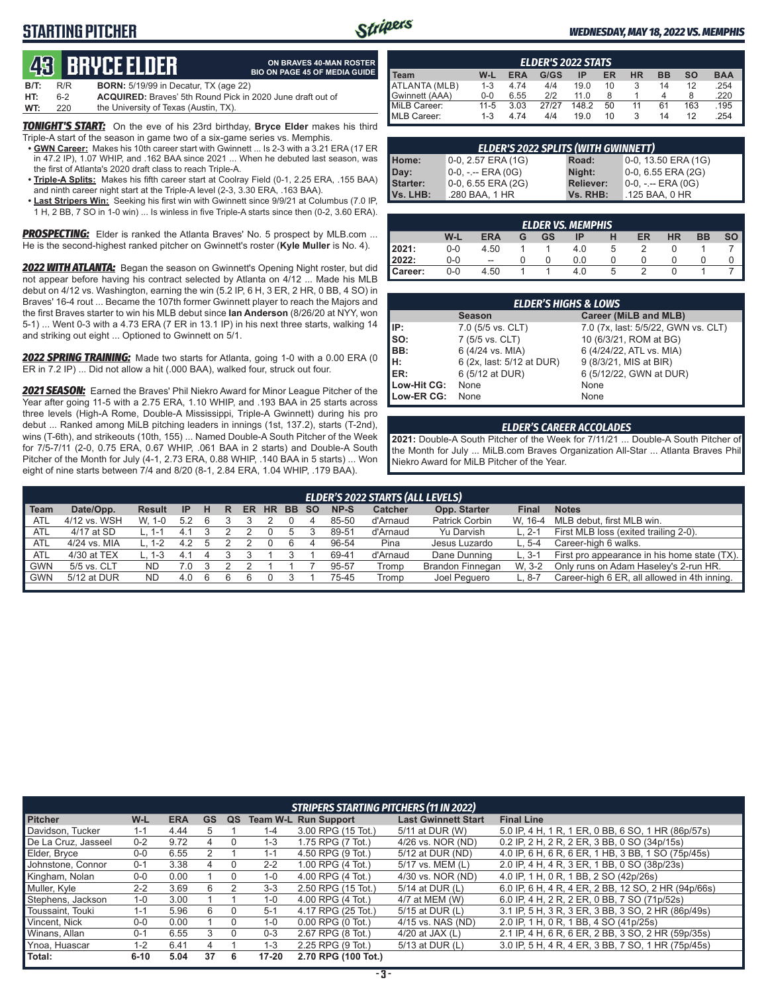### **STARTING PITCHER**



**ON BRAVES 40-MAN ROSTER**

#### *WEDNESDAY, MAY 18, 2022 VS. MEMPHIS*

# **49** BRUCE ELDER

|      |     | GO, DIIYGLEEDEN                                                   | <b>BIO ON PAGE 45 OF MEDIA GUIDE</b> |
|------|-----|-------------------------------------------------------------------|--------------------------------------|
| B/T: | R/R | <b>BORN:</b> 5/19/99 in Decatur, TX (age 22)                      |                                      |
| HT:  | հ-2 | <b>ACQUIRED:</b> Braves' 5th Round Pick in 2020 June draft out of |                                      |
| WT:  | 220 | the University of Texas (Austin, TX).                             |                                      |

*TONIGHT'S START:* On the eve of his 23rd birthday, **Bryce Elder** makes his third Triple-A start of the season in game two of a six-game series vs. Memphis.

- **• GWN Career:** Makes his 10th career start with Gwinnett ... Is 2-3 with a 3.21 ERA (17 ER in 47.2 IP), 1.07 WHIP, and .162 BAA since 2021 ... When he debuted last season, was the first of Atlanta's 2020 draft class to reach Triple-A.
- **• Triple-A Splits:** Makes his fifth career start at Coolray Field (0-1, 2.25 ERA, .155 BAA) and ninth career night start at the Triple-A level (2-3, 3.30 ERA, .163 BAA).
- **• Last Stripers Win:** Seeking his first win with Gwinnett since 9/9/21 at Columbus (7.0 IP, 1 H, 2 BB, 7 SO in 1-0 win) ... Is winless in five Triple-A starts since then (0-2, 3.60 ERA).

*PROSPECTING:* Elder is ranked the Atlanta Braves' No. 5 prospect by MLB.com ... He is the second-highest ranked pitcher on Gwinnett's roster (**Kyle Muller** is No. 4).

*2022 WITH ATLANTA:* Began the season on Gwinnett's Opening Night roster, but did not appear before having his contract selected by Atlanta on 4/12 ... Made his MLB debut on 4/12 vs. Washington, earning the win (5.2 IP, 6 H, 3 ER, 2 HR, 0 BB, 4 SO) in Braves' 16-4 rout ... Became the 107th former Gwinnett player to reach the Majors and the first Braves starter to win his MLB debut since **Ian Anderson** (8/26/20 at NYY, won 5-1) ... Went 0-3 with a 4.73 ERA (7 ER in 13.1 IP) in his next three starts, walking 14 and striking out eight ... Optioned to Gwinnett on 5/1.

*2022 SPRING TRAINING:* Made two starts for Atlanta, going 1-0 with a 0.00 ERA (0 ER in 7.2 IP) ... Did not allow a hit (.000 BAA), walked four, struck out four.

*2021 SEASON:* Earned the Braves' Phil Niekro Award for Minor League Pitcher of the Year after going 11-5 with a 2.75 ERA, 1.10 WHIP, and .193 BAA in 25 starts across three levels (High-A Rome, Double-A Mississippi, Triple-A Gwinnett) during his pro debut ... Ranked among MiLB pitching leaders in innings (1st, 137.2), starts (T-2nd), wins (T-6th), and strikeouts (10th, 155) ... Named Double-A South Pitcher of the Week for 7/5-7/11 (2-0, 0.75 ERA, 0.67 WHIP, .061 BAA in 2 starts) and Double-A South Pitcher of the Month for July (4-1, 2.73 ERA, 0.88 WHIP, .140 BAA in 5 starts) ... Won eight of nine starts between 7/4 and 8/20 (8-1, 2.84 ERA, 1.04 WHIP, .179 BAA).

| <b>ELDER'S 2022 STATS</b> |          |            |       |       |    |           |           |           |            |
|---------------------------|----------|------------|-------|-------|----|-----------|-----------|-----------|------------|
| <b>I</b> Team             | $W-L$    | <b>ERA</b> | G/GS  | ΙP    | ER | <b>HR</b> | <b>BB</b> | <b>SO</b> | <b>BAA</b> |
| ATLANTA (MLB)             | $1 - 3$  | 4.74       | 4/4   | 19.0  | 10 |           | 14        | 12        | .254       |
| Gwinnett (AAA)            | $0 - 0$  | 6.55       | 212   | 11.0  |    |           |           | 8         | .220       |
| MiLB Career:              | $11 - 5$ | 3.03       | 27/27 | 148.2 | 50 | 11        | 61        | 163       | .195       |
| MLB Career:               | 1-3      | 4.74       | 4/4   | 19.0  | 10 |           | 14        | 12        | .254       |

| <b>ELDER'S 2022 SPLITS (WITH GWINNETT)</b> |                     |                  |                       |  |  |  |  |  |
|--------------------------------------------|---------------------|------------------|-----------------------|--|--|--|--|--|
| Home:                                      | 0-0, 2.57 ERA (1G)  | Road:            | 0-0, 13.50 ERA (1G)   |  |  |  |  |  |
| Day:                                       | $0-0, - -$ ERA (0G) | Night:           | $0-0, 6.55$ ERA (2G)  |  |  |  |  |  |
| <b>Starter:</b>                            | 0-0, 6.55 ERA (2G)  | <b>Reliever:</b> | $0-0, - -$ ERA $(0G)$ |  |  |  |  |  |
| Vs. LHB:                                   | .280 BAA, 1 HR      | Vs. RHB:         | .125 BAA, 0 HR        |  |  |  |  |  |

| <b>ELDER VS. MEMPHIS</b> |       |                |   |    |     |  |    |           |           |                 |
|--------------------------|-------|----------------|---|----|-----|--|----|-----------|-----------|-----------------|
|                          | W-L   | <b>ERA</b>     | G | GS | IP  |  | ER | <b>HR</b> | <b>BB</b> | SO <sub>1</sub> |
| 2021:                    | 0-0   | 4.50           |   |    | 4.0 |  | າ  |           |           |                 |
| 2022:                    | 0-0   | $\overline{a}$ |   |    | 0.0 |  |    |           |           |                 |
| <b>I</b> Career:         | $0-0$ | 4.50           |   |    | 4.0 |  |    |           |           |                 |

|             | <b>ELDER'S HIGHS &amp; LOWS</b> |                                     |  |  |  |  |  |  |  |  |  |  |
|-------------|---------------------------------|-------------------------------------|--|--|--|--|--|--|--|--|--|--|
|             | <b>Season</b>                   | Career (MiLB and MLB)               |  |  |  |  |  |  |  |  |  |  |
| IP:         | 7.0 (5/5 vs. CLT)               | 7.0 (7x, last: 5/5/22, GWN vs. CLT) |  |  |  |  |  |  |  |  |  |  |
| $\vert$ so: | 7 (5/5 vs. CLT)                 | 10 (6/3/21, ROM at BG)              |  |  |  |  |  |  |  |  |  |  |
| BB:         | 6 (4/24 vs. MIA)                | 6 (4/24/22, ATL vs. MIA)            |  |  |  |  |  |  |  |  |  |  |
| Iн:         | 6 (2x, last: 5/12 at DUR)       | 9 (8/3/21, MIS at BIR)              |  |  |  |  |  |  |  |  |  |  |
| <b>IER:</b> | 6 (5/12 at DUR)                 | 6 (5/12/22, GWN at DUR)             |  |  |  |  |  |  |  |  |  |  |
| Low-Hit CG: | None                            | None                                |  |  |  |  |  |  |  |  |  |  |
| Low-ER CG:  | None                            | None                                |  |  |  |  |  |  |  |  |  |  |

#### *ELDER'S CAREER ACCOLADES*

**2021:** Double-A South Pitcher of the Week for 7/11/21 ... Double-A South Pitcher of the Month for July ... MiLB.com Braves Organization All-Star ... Atlanta Braves Phil Niekro Award for MiLB Pitcher of the Year.

|            | <b>ELDER'S 2022 STARTS (ALL LEVELS)</b>                                                                                                                             |         |     |  |  |  |  |    |   |       |          |                         |            |                                              |
|------------|---------------------------------------------------------------------------------------------------------------------------------------------------------------------|---------|-----|--|--|--|--|----|---|-------|----------|-------------------------|------------|----------------------------------------------|
| Team       | Date/Opp.<br>NP-S<br>Opp. Starter<br><b>Catcher</b><br><b>Notes</b><br><b>Final</b><br><b>HR</b><br>н<br>-SO<br><b>Result</b><br><b>IP</b><br><b>ER</b><br>BB.<br>R |         |     |  |  |  |  |    |   |       |          |                         |            |                                              |
| ATL        | 4/12 vs. WSH                                                                                                                                                        | W. 1-0  | 5.2 |  |  |  |  |    |   | 85-50 | d'Arnaud | <b>Patrick Corbin</b>   | W. 16-4    | MLB debut, first MLB win.                    |
| ATL        | 4/17 at SD                                                                                                                                                          |         | 4.  |  |  |  |  |    |   | 89-51 | d'Arnaud | Yu Darvish              | ∟. 2-1     | First MLB loss (exited trailing 2-0).        |
| <b>ATL</b> | 4/24 vs. MIA                                                                                                                                                        | $1 - 2$ | 4.2 |  |  |  |  | 6. | 4 | 96-54 | Pina     | Jesus Luzardo           | $L.5 - 4$  | Career-high 6 walks.                         |
| <b>ATL</b> | 4/30 at TEX                                                                                                                                                         | -3      |     |  |  |  |  |    |   | 69-41 | d'Arnaud | Dane Dunning            | $L.3 - 1$  | First pro appearance in his home state (TX). |
| <b>GWN</b> | 5/5 vs. CLT                                                                                                                                                         | ND      | 0.1 |  |  |  |  |    |   | 95-57 | Tromp    | <b>Brandon Finnegan</b> | W. 3-2     | Only runs on Adam Haseley's 2-run HR.        |
| <b>GWN</b> | 5/12 at DUR                                                                                                                                                         | ND.     | 4.0 |  |  |  |  |    |   | 75-45 | Tromp    | Joel Pequero            | $-0.8 - 7$ | Career-high 6 ER, all allowed in 4th inning. |
|            |                                                                                                                                                                     |         |     |  |  |  |  |    |   |       |          |                         |            |                                              |

|                     | <b>STRIPERS STARTING PITCHERS (11 IN 2022)</b>                                                                         |      |    |   |           |                       |                   |                                                     |  |  |  |  |  |  |
|---------------------|------------------------------------------------------------------------------------------------------------------------|------|----|---|-----------|-----------------------|-------------------|-----------------------------------------------------|--|--|--|--|--|--|
| <b>Pitcher</b>      | W-L<br><b>GS</b><br><b>ERA</b><br><b>Team W-L Run Support</b><br><b>Last Gwinnett Start</b><br><b>Final Line</b><br>QS |      |    |   |           |                       |                   |                                                     |  |  |  |  |  |  |
| Davidson, Tucker    | $1 - 1$                                                                                                                | 4.44 |    |   | $1 - 4$   | 3.00 RPG (15 Tot.)    | 5/11 at DUR (W)   | 5.0 IP, 4 H, 1 R, 1 ER, 0 BB, 6 SO, 1 HR (86p/57s)  |  |  |  |  |  |  |
| De La Cruz. Jasseel | $0 - 2$                                                                                                                | 9.72 | 4  |   | 1-3       | 1.75 RPG (7 Tot.)     | 4/26 vs. NOR (ND) | 0.2 IP, 2 H, 2 R, 2 ER, 3 BB, 0 SO (34p/15s)        |  |  |  |  |  |  |
| Elder, Bryce        | $0-0$                                                                                                                  | 6.55 |    |   | $1 - 1$   | 4.50 RPG (9 Tot.)     | 5/12 at DUR (ND)  | 4.0 IP, 6 H, 6 R, 6 ER, 1 HB, 3 BB, 1 SO (75p/45s)  |  |  |  |  |  |  |
| Johnstone, Connor   | $0 - 1$                                                                                                                | 3.38 |    |   | $2 - 2$   | 1.00 RPG (4 Tot.)     | 5/17 vs. MEM (L)  | 2.0 IP, 4 H, 4 R, 3 ER, 1 BB, 0 SO (38p/23s)        |  |  |  |  |  |  |
| Kingham, Nolan      | $0 - 0$                                                                                                                | 0.00 |    |   | $1 - 0$   | 4.00 RPG (4 Tot.)     | 4/30 vs. NOR (ND) | 4.0 IP, 1 H, 0 R, 1 BB, 2 SO (42p/26s)              |  |  |  |  |  |  |
| Muller, Kyle        | $2 - 2$                                                                                                                | 3.69 | 6  |   | $3 - 3$   | 2.50 RPG (15 Tot.)    | 5/14 at DUR (L)   | 6.0 IP, 6 H, 4 R, 4 ER, 2 BB, 12 SO, 2 HR (94p/66s) |  |  |  |  |  |  |
| Stephens, Jackson   | $1 - 0$                                                                                                                | 3.00 |    |   | $1 - 0$   | 4.00 RPG (4 Tot.)     | 4/7 at MEM (W)    | 6.0 IP, 4 H, 2 R, 2 ER, 0 BB, 7 SO (71p/52s)        |  |  |  |  |  |  |
| Toussaint, Touki    | $1 - 1$                                                                                                                | 5.96 | 6  |   | $5 - 1$   | 4.17 RPG (25 Tot.)    | 5/15 at DUR (L)   | 3.1 IP, 5 H, 3 R, 3 ER, 3 BB, 3 SO, 2 HR (86p/49s)  |  |  |  |  |  |  |
| Vincent, Nick       | $0 - 0$                                                                                                                | 0.00 |    | 0 | $1 - 0$   | $0.00$ RPG $(0$ Tot.) | 4/15 vs. NAS (ND) | 2.0 IP, 1 H, 0 R, 1 BB, 4 SO (41p/25s)              |  |  |  |  |  |  |
| Winans, Allan       | $0 - 1$                                                                                                                | 6.55 | 3  |   | $0 - 3$   | 2.67 RPG (8 Tot.)     | 4/20 at JAX $(L)$ | 2.1 IP, 4 H, 6 R, 6 ER, 2 BB, 3 SO, 2 HR (59p/35s)  |  |  |  |  |  |  |
| Ynoa, Huascar       | $1 - 2$                                                                                                                | 6.41 |    |   | $1 - 3$   | 2.25 RPG (9 Tot.)     | 5/13 at DUR (L)   | 3.0 IP, 5 H, 4 R, 4 ER, 3 BB, 7 SO, 1 HR (75p/45s)  |  |  |  |  |  |  |
| Total:              | $6 - 10$                                                                                                               | 5.04 | 37 | 6 | $17 - 20$ | 2.70 RPG (100 Tot.)   |                   |                                                     |  |  |  |  |  |  |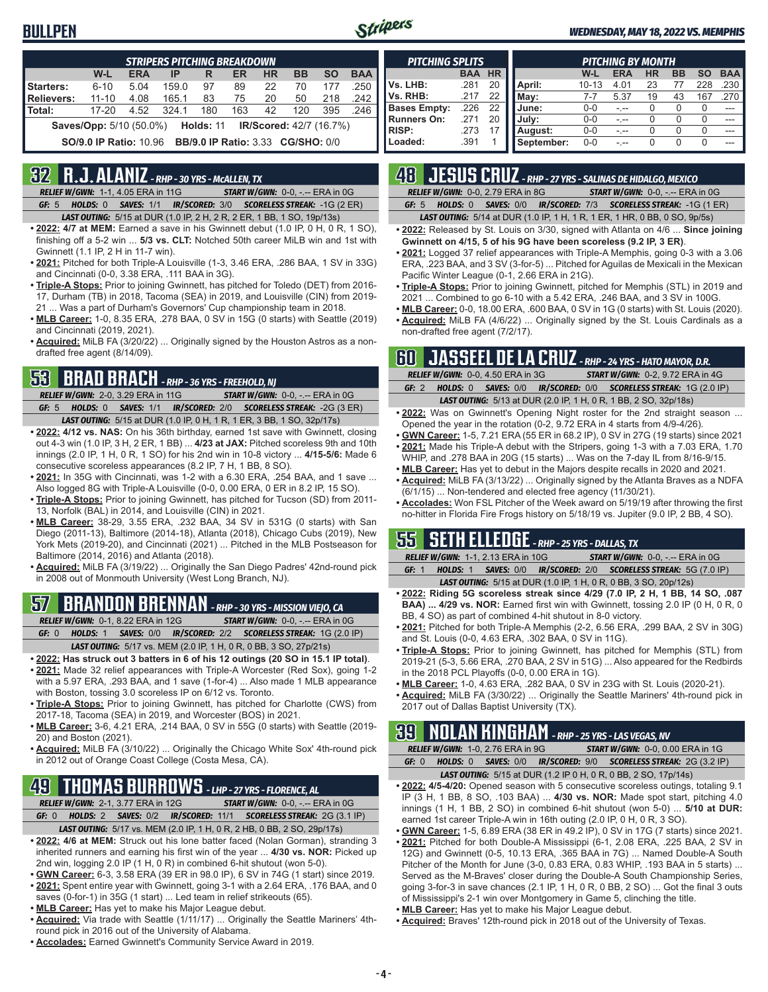#### **BULLPEN**



#### *WEDNESDAY, MAY 18, 2022 VS. MEMPHIS*

|                                                                                 | <b>STRIPERS PITCHING BREAKDOWN</b>                                                      |      |       |                                          |     |    |     |     |      |  |  |  |  |  |
|---------------------------------------------------------------------------------|-----------------------------------------------------------------------------------------|------|-------|------------------------------------------|-----|----|-----|-----|------|--|--|--|--|--|
|                                                                                 | W-L<br><b>ERA</b><br><b>HR</b><br><b>SO</b><br><b>BAA</b><br>ER<br><b>BB</b><br>IP<br>R |      |       |                                          |     |    |     |     |      |  |  |  |  |  |
| Starters:                                                                       | $6 - 10$                                                                                | 5.04 | 159.0 | 97                                       | 89  | 22 | 70  | 177 | .250 |  |  |  |  |  |
| Relievers:<br>.242<br>$11 - 10$<br>4.08<br>83<br>165.1<br>75<br>20<br>50<br>218 |                                                                                         |      |       |                                          |     |    |     |     |      |  |  |  |  |  |
| l Total:                                                                        | $17 - 20$                                                                               | 4.52 | 324.1 | 180                                      | 163 | 42 | 120 | 395 | .246 |  |  |  |  |  |
|                                                                                 | <b>IR/Scored: 42/7 (16.7%)</b><br><b>Saves/Opp:</b> 5/10 (50.0%)<br>Holds: 11           |      |       |                                          |     |    |     |     |      |  |  |  |  |  |
|                                                                                 | <b>SO/9.0 IP Ratio: 10.96</b>                                                           |      |       | <b>BB/9.0 IP Ratio: 3.33 CG/SHO: 0/0</b> |     |    |     |     |      |  |  |  |  |  |

#### **32 R.J. ALANIZ** *- RHP - 30 YRS - McALLEN, TX*

*RELIEF W/GWN:*1-1, 4.05 ERA in 11G *START W/GWN:*0-0, -.-- ERA in 0G *GF:*5 *HOLDS:*0 *SAVES:*1/1 *IR/SCORED:*3/0 *SCORELESS STREAK:*-1G (2 ER)

- *LAST OUTING:*5/15 at DUR (1.0 IP, 2 H, 2 R, 2 ER, 1 BB, 1 SO, 19p/13s)
- **• 2022: 4/7 at MEM:** Earned a save in his Gwinnett debut (1.0 IP, 0 H, 0 R, 1 SO), finishing off a 5-2 win ... **5/3 vs. CLT:** Notched 50th career MiLB win and 1st with Gwinnett (1.1 IP, 2 H in 11-7 win).
- **• 2021:** Pitched for both Triple-A Louisville (1-3, 3.46 ERA, .286 BAA, 1 SV in 33G) and Cincinnati (0-0, 3.38 ERA, .111 BAA in 3G).
- **• Triple-A Stops:** Prior to joining Gwinnett, has pitched for Toledo (DET) from 2016- 17, Durham (TB) in 2018, Tacoma (SEA) in 2019, and Louisville (CIN) from 2019- 21 ... Was a part of Durham's Governors' Cup championship team in 2018.
- **• MLB Career:** 1-0, 8.35 ERA, .278 BAA, 0 SV in 15G (0 starts) with Seattle (2019) and Cincinnati (2019, 2021).
- **• Acquired:** MiLB FA (3/20/22) ... Originally signed by the Houston Astros as a nondrafted free agent (8/14/09).

#### **53 BRAD BRACH** *- RHP - 36 YRS - FREEHOLD, NJ*

*RELIEF W/GWN:*2-0, 3.29 ERA in 11G *START W/GWN:*0-0, -.-- ERA in 0G *GF:*5 *HOLDS:*0 *SAVES:*1/1 *IR/SCORED:*2/0 *SCORELESS STREAK:*-2G (3 ER) *LAST OUTING:*5/15 at DUR (1.0 IP, 0 H, 1 R, 1 ER, 3 BB, 1 SO, 32p/17s)

- **• 2022: 4/12 vs. NAS:** On his 36th birthday, earned 1st save with Gwinnett, closing out 4-3 win (1.0 IP, 3 H, 2 ER, 1 BB) ... **4/23 at JAX:** Pitched scoreless 9th and 10th innings (2.0 IP, 1 H, 0 R, 1 SO) for his 2nd win in 10-8 victory ... **4/15-5/6:** Made 6 consecutive scoreless appearances (8.2 IP, 7 H, 1 BB, 8 SO).
- **• 2021:** In 35G with Cincinnati, was 1-2 with a 6.30 ERA, .254 BAA, and 1 save ... Also logged 8G with Triple-A Louisville (0-0, 0.00 ERA, 0 ER in 8.2 IP, 15 SO).
- **• Triple-A Stops:** Prior to joining Gwinnett, has pitched for Tucson (SD) from 2011- 13, Norfolk (BAL) in 2014, and Louisville (CIN) in 2021.
- **• MLB Career:** 38-29, 3.55 ERA, .232 BAA, 34 SV in 531G (0 starts) with San Diego (2011-13), Baltimore (2014-18), Atlanta (2018), Chicago Cubs (2019), New York Mets (2019-20), and Cincinnati (2021) ... Pitched in the MLB Postseason for Baltimore (2014, 2016) and Atlanta (2018).
- **• Acquired:** MiLB FA (3/19/22) ... Originally the San Diego Padres' 42nd-round pick in 2008 out of Monmouth University (West Long Branch, NJ).

### **57 BRANDON BRENNAN** *- RHP - 30 YRS - MISSION VIEJO, CA*

*RELIEF W/GWN:*0-1, 8.22 ERA in 12G *START W/GWN:*0-0, -.-- ERA in 0G *GF:*0 *HOLDS:*1 *SAVES:*0/0 *IR/SCORED:*2/2 *SCORELESS STREAK:*1G (2.0 IP)

- *LAST OUTING:*5/17 vs. MEM (2.0 IP, 1 H, 0 R, 0 BB, 3 SO, 27p/21s)
- **• 2022: Has struck out 3 batters in 6 of his 12 outings (20 SO in 15.1 IP total)**. **• 2021:** Made 32 relief appearances with Triple-A Worcester (Red Sox), going 1-2
- with a 5.97 ERA, .293 BAA, and 1 save (1-for-4) ... Also made 1 MLB appearance with Boston, tossing 3.0 scoreless IP on 6/12 vs. Toronto.
- **• Triple-A Stops:** Prior to joining Gwinnett, has pitched for Charlotte (CWS) from 2017-18, Tacoma (SEA) in 2019, and Worcester (BOS) in 2021.
- **• MLB Career:** 3-6, 4.21 ERA, .214 BAA, 0 SV in 55G (0 starts) with Seattle (2019- 20) and Boston (2021).
- **• Acquired:** MiLB FA (3/10/22) ... Originally the Chicago White Sox' 4th-round pick in 2012 out of Orange Coast College (Costa Mesa, CA).

### **49 THOMAS BURROWS** *- LHP - 27 YRS - FLORENCE, AL*

*RELIEF W/GWN:*2-1, 3.77 ERA in 12G *START W/GWN:*0-0, -.-- ERA in 0G *GF:*0 *HOLDS:*2 *SAVES:*0/2 *IR/SCORED:*11/1 *SCORELESS STREAK:*2G (3.1 IP)

- *LAST OUTING:*5/17 vs. MEM (2.0 IP, 1 H, 0 R, 2 HB, 0 BB, 2 SO, 29p/17s)
- **• 2022: 4/6 at MEM:** Struck out his lone batter faced (Nolan Gorman), stranding 3 inherited runners and earning his first win of the year ... **4/30 vs. NOR:** Picked up 2nd win, logging 2.0 IP (1 H, 0 R) in combined 6-hit shutout (won 5-0).
- **• GWN Career:** 6-3, 3.58 ERA (39 ER in 98.0 IP), 6 SV in 74G (1 start) since 2019.
- **• 2021:** Spent entire year with Gwinnett, going 3-1 with a 2.64 ERA, .176 BAA, and 0 saves (0-for-1) in 35G (1 start) ... Led team in relief strikeouts (65).
- **• MLB Career:** Has yet to make his Major League debut.
- **• Acquired:** Via trade with Seattle (1/11/17) ... Originally the Seattle Mariners' 4thround pick in 2016 out of the University of Alabama.
- **• Accolades:** Earned Gwinnett's Community Service Award in 2019.

| <b>PITCHING SPLITS</b> |            |           |            | <b>PITCHING BY MONTH</b> |            |           |           |     |            |  |  |
|------------------------|------------|-----------|------------|--------------------------|------------|-----------|-----------|-----|------------|--|--|
|                        | <b>BAA</b> | <b>HR</b> |            | W-L                      | <b>ERA</b> | <b>HR</b> | <b>BB</b> | SΟ  | <b>BAA</b> |  |  |
| Vs. LHB:               | .281       | 20        | April:     | $10 - 13$                | 4.01       | 23        | 77        | 228 | .230       |  |  |
| Vs. RHB:               | .217       | 22        | May:       | $7 - 7$                  | 5.37       | 19        | 43        | 167 | .270       |  |  |
| <b>Bases Empty:</b>    | .226       | 22        | June:      | $0 - 0$                  |            | 0         | 0         | 0   |            |  |  |
| <b>Runners On:</b>     | .271       | 20        | July:      | $0 - 0$                  | -.--       | 0         | O         | O   | ---        |  |  |
| <b>RISP:</b>           | .273       |           | August:    | $0 - 0$                  | - --       | O         | 0         | O   |            |  |  |
| Loaded:                | .391       |           | September: | $0 - 0$                  |            | 0         | 0         | O   |            |  |  |

## **48 JESUS CRUZ** *- RHP - 27 YRS - SALINAS DE HIDALGO, MEXICO*

*RELIEF W/GWN:*0-0, 2.79 ERA in 8G *START W/GWN:*0-0, -.-- ERA in 0G

*GF:*5 *HOLDS:*0 *SAVES:*0/0 *IR/SCORED:*7/3 *SCORELESS STREAK:*-1G (1 ER) *LAST OUTING:*5/14 at DUR (1.0 IP, 1 H, 1 R, 1 ER, 1 HR, 0 BB, 0 SO, 9p/5s)

- **• 2022:** Released by St. Louis on 3/30, signed with Atlanta on 4/6 ... **Since joining Gwinnett on 4/15, 5 of his 9G have been scoreless (9.2 IP, 3 ER)**.
- **• 2021:** Logged 37 relief appearances with Triple-A Memphis, going 0-3 with a 3.06 ERA, .223 BAA, and 3 SV (3-for-5) ... Pitched for Aguilas de Mexicali in the Mexican Pacific Winter League (0-1, 2.66 ERA in 21G).
- **• Triple-A Stops:** Prior to joining Gwinnett, pitched for Memphis (STL) in 2019 and 2021 ... Combined to go 6-10 with a 5.42 ERA, .246 BAA, and 3 SV in 100G.
- **• MLB Career:** 0-0, 18.00 ERA, .600 BAA, 0 SV in 1G (0 starts) with St. Louis (2020). **• Acquired:** MiLB FA (4/6/22) ... Originally signed by the St. Louis Cardinals as a
- non-drafted free agent (7/2/17).

### **60 JASSEEL DE LA CRUZ** *- RHP - 24 YRS - HATO MAYOR, D.R.*

|         | RELIEF W/GWN: 0-0, 4.50 ERA in 3G | <b>START W/GWN: 0-2, 9.72 ERA in 4G</b>                                 |
|---------|-----------------------------------|-------------------------------------------------------------------------|
| GF: $2$ |                                   | HOLDS: 0 SAVES: 0/0 IR/SCORED: 0/0 SCORELESS STREAK: 1G (2.0 IP)        |
|         |                                   | <b>LAST OUTING:</b> 5/13 at DUR (2.0 IP, 1 H, 0 R, 1 BB, 2 SO, 32p/18s) |

- **• 2022:** Was on Gwinnett's Opening Night roster for the 2nd straight season ... Opened the year in the rotation (0-2, 9.72 ERA in 4 starts from 4/9-4/26).
- **• GWN Career:** 1-5, 7.21 ERA (55 ER in 68.2 IP), 0 SV in 27G (19 starts) since 2021 **• 2021:** Made his Triple-A debut with the Stripers, going 1-3 with a 7.03 ERA, 1.70
- WHIP, and .278 BAA in 20G (15 starts) ... Was on the 7-day IL from 8/16-9/15. **• MLB Career:** Has yet to debut in the Majors despite recalls in 2020 and 2021.
- **• Acquired:** MiLB FA (3/13/22) ... Originally signed by the Atlanta Braves as a NDFA (6/1/15) ... Non-tendered and elected free agency (11/30/21).
- **• Accolades:** Won FSL Pitcher of the Week award on 5/19/19 after throwing the first no-hitter in Florida Fire Frogs history on 5/18/19 vs. Jupiter (9.0 IP, 2 BB, 4 SO).

#### **55 SETH ELLEDGE** *- RHP - 25 YRS - DALLAS, TX*

*RELIEF W/GWN:*1-1, 2.13 ERA in 10G *START W/GWN:*0-0, -.-- ERA in 0G *GF:*1 *HOLDS:*1 *SAVES:*0/0 *IR/SCORED:*2/0 *SCORELESS STREAK:*5G (7.0 IP) *LAST OUTING:*5/15 at DUR (1.0 IP, 1 H, 0 R, 0 BB, 3 SO, 20p/12s)

- **• 2022: Riding 5G scoreless streak since 4/29 (7.0 IP, 2 H, 1 BB, 14 SO, .087 BAA) ... 4/29 vs. NOR:** Earned first win with Gwinnett, tossing 2.0 IP (0 H, 0 R, 0 BB, 4 SO) as part of combined 4-hit shutout in 8-0 victory.
- **• 2021:** Pitched for both Triple-A Memphis (2-2, 6.56 ERA, .299 BAA, 2 SV in 30G) and St. Louis (0-0, 4.63 ERA, .302 BAA, 0 SV in 11G).
- **• Triple-A Stops:** Prior to joining Gwinnett, has pitched for Memphis (STL) from 2019-21 (5-3, 5.66 ERA, .270 BAA, 2 SV in 51G) ... Also appeared for the Redbirds in the 2018 PCL Playoffs (0-0, 0.00 ERA in 1G).
- **• MLB Career:** 1-0, 4.63 ERA, .282 BAA, 0 SV in 23G with St. Louis (2020-21).
- **• Acquired:** MiLB FA (3/30/22) ... Originally the Seattle Mariners' 4th-round pick in 2017 out of Dallas Baptist University (TX).

### **39 NOLAN KINGHAM** *- RHP - 25 YRS - LAS VEGAS, NV*

| <b>RELIEF W/GWN: 1-0, 2.76 ERA in 9G/</b> |                                                                          | <b>START W/GWN: 0-0, 0.00 ERA in 1G</b>                                 |
|-------------------------------------------|--------------------------------------------------------------------------|-------------------------------------------------------------------------|
| GF: 0                                     |                                                                          | <b>HOLDS: 0 SAVES: 0/0 IR/SCORED: 9/0 SCORELESS STREAK: 2G (3.2 IP)</b> |
|                                           | <b>LAST OUTING:</b> $5/15$ at DUR (1.2 IP 0 H, 0 R, 0 BB, 2 SO, 17p/14s) |                                                                         |

- **• 2022: 4/5-4/20:** Opened season with 5 consecutive scoreless outings, totaling 9.1 IP (3 H, 1 BB, 8 SO, .103 BAA) ... **4/30 vs. NOR:** Made spot start, pitching 4.0 innings (1 H, 1 BB, 2 SO) in combined 6-hit shutout (won 5-0) ... **5/10 at DUR:** earned 1st career Triple-A win in 16th outing (2.0 IP, 0 H, 0 R, 3 SO).
- **• GWN Career:** 1-5, 6.89 ERA (38 ER in 49.2 IP), 0 SV in 17G (7 starts) since 2021. **• 2021:** Pitched for both Double-A Mississippi (6-1, 2.08 ERA, .225 BAA, 2 SV in
- 12G) and Gwinnett (0-5, 10.13 ERA, .365 BAA in 7G) ... Named Double-A South Pitcher of the Month for June (3-0, 0.83 ERA, 0.83 WHIP, .193 BAA in 5 starts) ... Served as the M-Braves' closer during the Double-A South Championship Series, going 3-for-3 in save chances (2.1 IP, 1 H, 0 R, 0 BB, 2 SO) ... Got the final 3 outs of Mississippi's 2-1 win over Montgomery in Game 5, clinching the title.
- **• MLB Career:** Has yet to make his Major League debut.
- **• Acquired:** Braves' 12th-round pick in 2018 out of the University of Texas.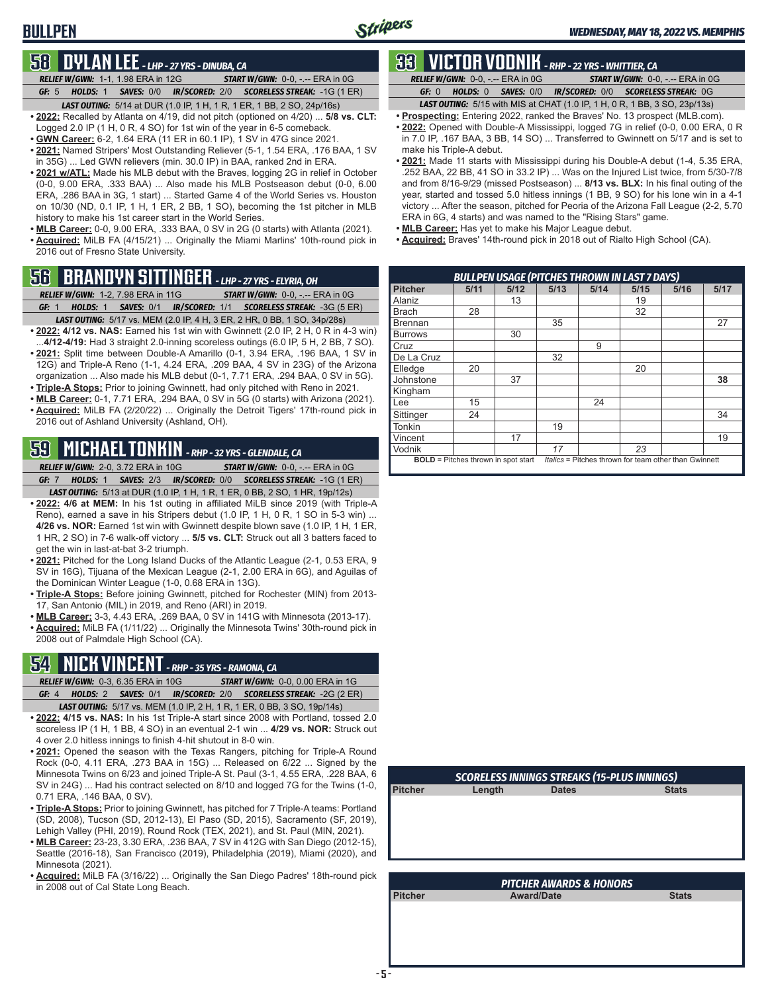#### **BULLPEN**

#### **58 DYLAN LEE** *- LHP - 27 YRS - DINUBA, CA*

*RELIEF W/GWN:*1-1, 1.98 ERA in 12G *START W/GWN:*0-0, -.-- ERA in 0G *GF:*5 *HOLDS:*1 *SAVES:*0/0 *IR/SCORED:*2/0 *SCORELESS STREAK:*-1G (1 ER) *LAST OUTING:*5/14 at DUR (1.0 IP, 1 H, 1 R, 1 ER, 1 BB, 2 SO, 24p/16s)

- **• 2022:** Recalled by Atlanta on 4/19, did not pitch (optioned on 4/20) ... **5/8 vs. CLT:** Logged 2.0 IP (1 H, 0 R, 4 SO) for 1st win of the year in 6-5 comeback.
- **• GWN Career:** 6-2, 1.64 ERA (11 ER in 60.1 IP), 1 SV in 47G since 2021.
- **• 2021:** Named Stripers' Most Outstanding Reliever (5-1, 1.54 ERA, .176 BAA, 1 SV in 35G) ... Led GWN relievers (min. 30.0 IP) in BAA, ranked 2nd in ERA.
- **• 2021 w/ATL:** Made his MLB debut with the Braves, logging 2G in relief in October (0-0, 9.00 ERA, .333 BAA) ... Also made his MLB Postseason debut (0-0, 6.00 ERA, .286 BAA in 3G, 1 start) ... Started Game 4 of the World Series vs. Houston on 10/30 (ND, 0.1 IP, 1 H, 1 ER, 2 BB, 1 SO), becoming the 1st pitcher in MLB history to make his 1st career start in the World Series.
- **• MLB Career:** 0-0, 9.00 ERA, .333 BAA, 0 SV in 2G (0 starts) with Atlanta (2021). **• Acquired:** MiLB FA (4/15/21) ... Originally the Miami Marlins' 10th-round pick in 2016 out of Fresno State University.

#### **56 BRANDYN SITTINGER** *- LHP - 27 YRS - ELYRIA, OH*

- *RELIEF W/GWN:*1-2, 7.98 ERA in 11G *START W/GWN:*0-0, -.-- ERA in 0G *GF:*1 *HOLDS:*1 *SAVES:*0/1 *IR/SCORED:*1/1 *SCORELESS STREAK:*-3G (5 ER)
- *LAST OUTING:*5/17 vs. MEM (2.0 IP, 4 H, 3 ER, 2 HR, 0 BB, 1 SO, 34p/28s) **• 2022: 4/12 vs. NAS:** Earned his 1st win with Gwinnett (2.0 IP, 2 H, 0 R in 4-3 win)
- ...**4/12-4/19:** Had 3 straight 2.0-inning scoreless outings (6.0 IP, 5 H, 2 BB, 7 SO). • 2021: Split time between Double-A Amarillo (0-1, 3.94 ERA, .196 BAA, 1 SV in 12G) and Triple-A Reno (1-1, 4.24 ERA, .209 BAA, 4 SV in 23G) of the Arizona organization ... Also made his MLB debut (0-1, 7.71 ERA, .294 BAA, 0 SV in 5G).
- **• Triple-A Stops:** Prior to joining Gwinnett, had only pitched with Reno in 2021.
- **• MLB Career:** 0-1, 7.71 ERA, .294 BAA, 0 SV in 5G (0 starts) with Arizona (2021).
- **• Acquired:** MiLB FA (2/20/22) ... Originally the Detroit Tigers' 17th-round pick in 2016 out of Ashland University (Ashland, OH).

### **59 MICHAEL TONKIN** *- RHP - 32 YRS - GLENDALE, CA*

*RELIEF W/GWN:*2-0, 3.72 ERA in 10G *START W/GWN:*0-0, -.-- ERA in 0G *GF:*7 *HOLDS:*1 *SAVES:*2/3 *IR/SCORED:*0/0 *SCORELESS STREAK:*-1G (1 ER)

- *LAST OUTING:*5/13 at DUR (1.0 IP, 1 H, 1 R, 1 ER, 0 BB, 2 SO, 1 HR, 19p/12s) **• 2022: 4/6 at MEM:** In his 1st outing in affiliated MiLB since 2019 (with Triple-A Reno), earned a save in his Stripers debut (1.0 IP, 1 H, 0 R, 1 SO in 5-3 win) ... **4/26 vs. NOR:** Earned 1st win with Gwinnett despite blown save (1.0 IP, 1 H, 1 ER, 1 HR, 2 SO) in 7-6 walk-off victory ... **5/5 vs. CLT:** Struck out all 3 batters faced to get the win in last-at-bat 3-2 triumph.
- **• 2021:** Pitched for the Long Island Ducks of the Atlantic League (2-1, 0.53 ERA, 9 SV in 16G), Tijuana of the Mexican League (2-1, 2.00 ERA in 6G), and Aguilas of the Dominican Winter League (1-0, 0.68 ERA in 13G).
- **• Triple-A Stops:** Before joining Gwinnett, pitched for Rochester (MIN) from 2013- 17, San Antonio (MIL) in 2019, and Reno (ARI) in 2019.
- **• MLB Career:** 3-3, 4.43 ERA, .269 BAA, 0 SV in 141G with Minnesota (2013-17).
- **• Acquired:** MiLB FA (1/11/22) ... Originally the Minnesota Twins' 30th-round pick in 2008 out of Palmdale High School (CA).

#### **54 NICK VINCENT** *- RHP - 35 YRS - RAMONA, CA*

*RELIEF W/GWN:*0-3, 6.35 ERA in 10G *START W/GWN:*0-0, 0.00 ERA in 1G *GF:*4 *HOLDS:*2 *SAVES:*0/1 *IR/SCORED:*2/0 *SCORELESS STREAK:*-2G (2 ER)

- *LAST OUTING:*5/17 vs. MEM (1.0 IP, 2 H, 1 R, 1 ER, 0 BB, 3 SO, 19p/14s) **• 2022: 4/15 vs. NAS:** In his 1st Triple-A start since 2008 with Portland, tossed 2.0 scoreless IP (1 H, 1 BB, 4 SO) in an eventual 2-1 win ... **4/29 vs. NOR:** Struck out 4 over 2.0 hitless innings to finish 4-hit shutout in 8-0 win.
- **• 2021:** Opened the season with the Texas Rangers, pitching for Triple-A Round Rock (0-0, 4.11 ERA, .273 BAA in 15G) ... Released on 6/22 ... Signed by the Minnesota Twins on 6/23 and joined Triple-A St. Paul (3-1, 4.55 ERA, .228 BAA, 6 SV in 24G) ... Had his contract selected on 8/10 and logged 7G for the Twins (1-0, 0.71 ERA, .146 BAA, 0 SV).
- **• Triple-A Stops:** Prior to joining Gwinnett, has pitched for 7 Triple-A teams: Portland (SD, 2008), Tucson (SD, 2012-13), El Paso (SD, 2015), Sacramento (SF, 2019), Lehigh Valley (PHI, 2019), Round Rock (TEX, 2021), and St. Paul (MIN, 2021).
- **• MLB Career:** 23-23, 3.30 ERA, .236 BAA, 7 SV in 412G with San Diego (2012-15), Seattle (2016-18), San Francisco (2019), Philadelphia (2019), Miami (2020), and Minnesota (2021).
- **• Acquired:** MiLB FA (3/16/22) ... Originally the San Diego Padres' 18th-round pick in 2008 out of Cal State Long Beach.

### **33 VICTOR VODNIK** *- RHP - 22 YRS - WHITTIER, CA*

*RELIEF W/GWN:*0-0, -.-- ERA in 0G *START W/GWN:*0-0, -.-- ERA in 0G *GF:*0 *HOLDS:*0 *SAVES:*0/0 *IR/SCORED:*0/0 *SCORELESS STREAK:*0G

- *LAST OUTING:*5/15 with MIS at CHAT (1.0 IP, 1 H, 0 R, 1 BB, 3 SO, 23p/13s) **• Prospecting:** Entering 2022, ranked the Braves' No. 13 prospect (MLB.com).
- **• 2022:** Opened with Double-A Mississippi, logged 7G in relief (0-0, 0.00 ERA, 0 R in 7.0 IP, .167 BAA, 3 BB, 14 SO) ... Transferred to Gwinnett on 5/17 and is set to make his Triple-A debut.
- **• 2021:** Made 11 starts with Mississippi during his Double-A debut (1-4, 5.35 ERA, .252 BAA, 22 BB, 41 SO in 33.2 IP) ... Was on the Injured List twice, from 5/30-7/8 and from 8/16-9/29 (missed Postseason) ... **8/13 vs. BLX:** In his final outing of the year, started and tossed 5.0 hitless innings (1 BB, 9 SO) for his lone win in a 4-1 victory ... After the season, pitched for Peoria of the Arizona Fall League (2-2, 5.70 ERA in 6G, 4 starts) and was named to the "Rising Stars" game.
- **• MLB Career:** Has yet to make his Major League debut.
- **• Acquired:** Braves' 14th-round pick in 2018 out of Rialto High School (CA).

|                | <b>BULLPEN USAGE (PITCHES THROWN IN LAST 7 DAYS)</b> |      |      |      |      |                                                       |      |  |  |  |  |  |  |
|----------------|------------------------------------------------------|------|------|------|------|-------------------------------------------------------|------|--|--|--|--|--|--|
| <b>Pitcher</b> | 5/11                                                 | 5/12 | 5/13 | 5/14 | 5/15 | 5/16                                                  | 5/17 |  |  |  |  |  |  |
| Alaniz         |                                                      | 13   |      |      | 19   |                                                       |      |  |  |  |  |  |  |
| <b>Brach</b>   | 28                                                   |      |      |      | 32   |                                                       |      |  |  |  |  |  |  |
| <b>Brennan</b> |                                                      |      | 35   |      |      |                                                       | 27   |  |  |  |  |  |  |
| <b>Burrows</b> |                                                      | 30   |      |      |      |                                                       |      |  |  |  |  |  |  |
| 9<br>Cruz      |                                                      |      |      |      |      |                                                       |      |  |  |  |  |  |  |
| De La Cruz     |                                                      |      | 32   |      |      |                                                       |      |  |  |  |  |  |  |
| Elledge        | 20                                                   |      |      |      | 20   |                                                       |      |  |  |  |  |  |  |
| Johnstone      |                                                      | 37   |      |      |      |                                                       | 38   |  |  |  |  |  |  |
| Kingham        |                                                      |      |      |      |      |                                                       |      |  |  |  |  |  |  |
| Lee            | 15                                                   |      |      | 24   |      |                                                       |      |  |  |  |  |  |  |
| Sittinger      | 24                                                   |      |      |      |      |                                                       | 34   |  |  |  |  |  |  |
| Tonkin         |                                                      |      | 19   |      |      |                                                       |      |  |  |  |  |  |  |
| Vincent        |                                                      | 17   |      |      |      |                                                       | 19   |  |  |  |  |  |  |
| Vodnik         |                                                      |      | 17   |      | 23   |                                                       |      |  |  |  |  |  |  |
|                | <b>BOLD</b> = Pitches thrown in spot start           |      |      |      |      | Italics = Pitches thrown for team other than Gwinnett |      |  |  |  |  |  |  |

| <b>SCORELESS INNINGS STREAKS (15-PLUS INNINGS)</b> |              |              |  |  |  |  |  |  |  |  |  |
|----------------------------------------------------|--------------|--------------|--|--|--|--|--|--|--|--|--|
| Length                                             | <b>Dates</b> | <b>Stats</b> |  |  |  |  |  |  |  |  |  |
|                                                    |              |              |  |  |  |  |  |  |  |  |  |
|                                                    |              |              |  |  |  |  |  |  |  |  |  |
|                                                    |              |              |  |  |  |  |  |  |  |  |  |
|                                                    |              |              |  |  |  |  |  |  |  |  |  |
|                                                    |              |              |  |  |  |  |  |  |  |  |  |
|                                                    |              |              |  |  |  |  |  |  |  |  |  |

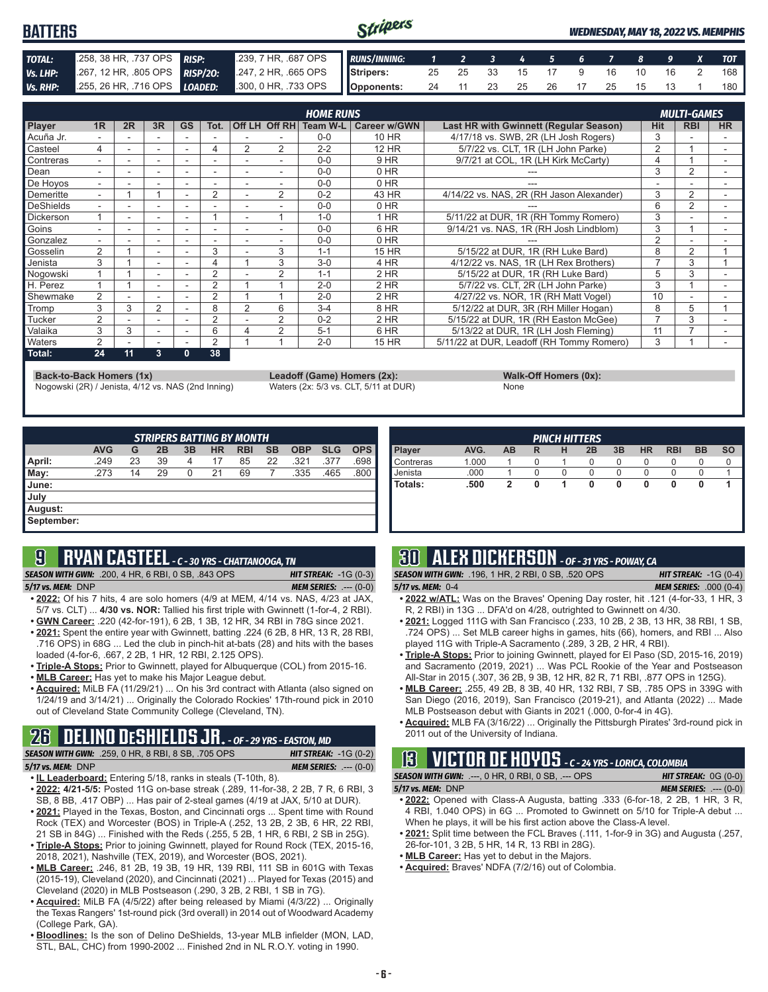#### Stripers **BATTERS** *WEDNESDAY, MAY 18, 2022 VS. MEMPHIS TOTAL:* .258, 38 HR, .737 OPS *RISP:* .239, 7 HR, .687 OPS *RUNS/INNING: 1 2 3 4 5 6 7 8 9 X TOT Vs. LHP:* .267, 12 HR, .805 OPS *RISP/2O:* .247, 2 HR, .665 OPS **Stripers:** 25 25 33 15 17 9 16 10 16 2 168 *Vs. RHP:* .255, 26 HR, .716 OPS *LOADED:* .300, 0 HR, .733 OPS **Opponents:** 24 11 23 25 26 17 25 15 13 1 180

|                  |                          |    |                          |           |      |                          |                | <b>HOME RUNS</b>         |                     |                                           |            | <b>MULTI-GAMES</b> |           |
|------------------|--------------------------|----|--------------------------|-----------|------|--------------------------|----------------|--------------------------|---------------------|-------------------------------------------|------------|--------------------|-----------|
| Player           | 1R                       | 2R | 3R                       | <b>GS</b> | Tot. |                          |                | Off LH Off RH   Team W-L | <b>Career w/GWN</b> | Last HR with Gwinnett (Regular Season)    | <b>Hit</b> | <b>RBI</b>         | <b>HR</b> |
| Acuña Jr.        |                          |    |                          |           |      |                          |                | $0 - 0$                  | 10 HR               | 4/17/18 vs. SWB, 2R (LH Josh Rogers)      |            |                    |           |
| Casteel          | 4                        |    | $\overline{\phantom{a}}$ |           | 4    | 2                        | 2              | $2 - 2$                  | 12 HR               | 5/7/22 vs. CLT. 1R (LH John Parke)        | 2          |                    |           |
| Contreras        | ۰.                       |    | $\overline{\phantom{a}}$ |           |      |                          |                | $0 - 0$                  | 9 HR                | 9/7/21 at COL, 1R (LH Kirk McCarty)       |            |                    |           |
| Dean             |                          |    |                          |           |      |                          |                | $0 - 0$                  | $0$ HR              |                                           | 3          | $\overline{2}$     |           |
| De Hovos         | ۰.                       |    | $\overline{\phantom{a}}$ | ۰         | ٠    | $\overline{\phantom{a}}$ |                | $0 - 0$                  | $0$ HR              |                                           |            |                    |           |
| Demeritte        | $\overline{\phantom{0}}$ |    |                          |           | 2    |                          | $\overline{2}$ | $0 - 2$                  | 43 HR               | 4/14/22 vs. NAS, 2R (RH Jason Alexander)  | 3          | 2                  |           |
| DeShields        |                          |    |                          |           |      |                          |                | $0 - 0$                  | 0 HR                |                                           | 6          | $\overline{2}$     |           |
| <b>Dickerson</b> |                          | ۰. | $\overline{\phantom{a}}$ | ۰         |      |                          |                | $1 - 0$                  | $1$ HR              | 5/11/22 at DUR, 1R (RH Tommy Romero)      | 3          |                    |           |
| Goins            |                          |    | $\overline{\phantom{a}}$ |           |      |                          |                | $0 - 0$                  | 6 HR                | 9/14/21 vs. NAS. 1R (RH Josh Lindblom)    | 3          |                    |           |
| Gonzalez         | $\overline{\phantom{0}}$ |    | $\overline{\phantom{a}}$ | ۰         | ۰    | $\overline{\phantom{a}}$ |                | $0 - 0$                  | 0 HR                |                                           | 2          |                    |           |
| Gosselin         | 2                        |    |                          |           | 3    |                          | 3              | $1 - 1$                  | 15 HR               | 5/15/22 at DUR, 1R (RH Luke Bard)         | 8          | 2                  |           |
| Jenista          | 3                        |    |                          |           |      |                          | 3              | $3-0$                    | 4 HR                | 4/12/22 vs. NAS, 1R (LH Rex Brothers)     | ⇁          | 3                  |           |
| Nogowski         |                          |    | $\overline{\phantom{a}}$ |           | 2    |                          | 2              | $1 - 1$                  | $2$ HR              | 5/15/22 at DUR, 1R (RH Luke Bard)         | 5          | 3                  |           |
| H. Perez         |                          |    | $\overline{\phantom{a}}$ |           | 2    |                          |                | $2 - 0$                  | 2 HR                | 5/7/22 vs. CLT, 2R (LH John Parke)        | 3          |                    |           |
| Shewmake         | 2                        |    |                          |           | 2    |                          |                | $2 - 0$                  | $2$ HR              | 4/27/22 vs. NOR, 1R (RH Matt Vogel)       | 10         |                    |           |
| Tromp            | 3                        | 3  | $\overline{2}$           |           | 8    | 2                        | 6              | $3 - 4$                  | 8 HR                | 5/12/22 at DUR, 3R (RH Miller Hogan)      | 8          | 5                  |           |
| Tucker           | $\overline{2}$           |    |                          |           | 2    |                          | 2              | $0 - 2$                  | 2 HR                | 5/15/22 at DUR, 1R (RH Easton McGee)      |            | 3                  |           |
| Valaika          | 3                        | 3  | $\overline{\phantom{a}}$ |           | 6    | Δ                        | $\overline{2}$ | $5 - 1$                  | 6 HR                | 5/13/22 at DUR. 1R (LH Josh Fleming)      | 11         |                    |           |
| <b>Naters</b>    | 2                        |    | $\overline{\phantom{a}}$ |           | 2    |                          |                | $2 - 0$                  | 15 HR               | 5/11/22 at DUR, Leadoff (RH Tommy Romero) | 3          |                    |           |
| Total:           | 24                       | 11 | 3                        | 0         | 38   |                          |                |                          |                     |                                           |            |                    |           |

**Back-to-Back Homers (1x) Leadoff (Game) Homers (2x): Walk-Off Homers (0x):**<br>Nogowski (2R) / Jenista, 4/12 vs. NAS (2nd Inning) Waters (2x: 5/3 vs. CLT, 5/11 at DUR) None Nogowski (2R) / Jenista, 4/12 vs. NAS (2nd Inning)

|      | $\cdots$ |
|------|----------|
| None |          |

|            | <b>STRIPERS BATTING BY MONTH</b> |    |    |    |           |            |           |            |            |            |  |  |  |  |
|------------|----------------------------------|----|----|----|-----------|------------|-----------|------------|------------|------------|--|--|--|--|
|            | <b>AVG</b>                       | G  | 2B | 3B | <b>HR</b> | <b>RBI</b> | <b>SB</b> | <b>OBP</b> | <b>SLG</b> | <b>OPS</b> |  |  |  |  |
| April:     | .249                             | 23 | 39 | 4  | 17        | 85         | 22        | .321       | .377       | .698       |  |  |  |  |
| May:       | .273                             | 14 | 29 | 0  | 21        | 69         |           | .335       | .465       | .800       |  |  |  |  |
| June:      |                                  |    |    |    |           |            |           |            |            |            |  |  |  |  |
| July       |                                  |    |    |    |           |            |           |            |            |            |  |  |  |  |
| August:    |                                  |    |    |    |           |            |           |            |            |            |  |  |  |  |
| September: |                                  |    |    |    |           |            |           |            |            |            |  |  |  |  |

#### **9 RYAN CASTEEL** *- C - 30 YRS - CHATTANOOGA, TN*

*SEASON WITH GWN:*.200, 4 HR, 6 RBI, 0 SB, .843 OPS *HIT STREAK:* -1G (0-3)

*5/17 vs. MEM:*DNP *MEM SERIES:* .--- (0-0)

- **• 2022:** Of his 7 hits, 4 are solo homers (4/9 at MEM, 4/14 vs. NAS, 4/23 at JAX, 5/7 vs. CLT) ... **4/30 vs. NOR:** Tallied his first triple with Gwinnett (1-for-4, 2 RBI). **• GWN Career:** .220 (42-for-191), 6 2B, 1 3B, 12 HR, 34 RBI in 78G since 2021.
- **• 2021:** Spent the entire year with Gwinnett, batting .224 (6 2B, 8 HR, 13 R, 28 RBI, .716 OPS) in 68G ... Led the club in pinch-hit at-bats (28) and hits with the bases
- loaded (4-for-6, .667, 2 2B, 1 HR, 12 RBI, 2.125 OPS). **• Triple-A Stops:** Prior to Gwinnett, played for Albuquerque (COL) from 2015-16.
- **• MLB Career:** Has yet to make his Major League debut.
- **• Acquired:** MiLB FA (11/29/21) ... On his 3rd contract with Atlanta (also signed on 1/24/19 and 3/14/21) ... Originally the Colorado Rockies' 17th-round pick in 2010 out of Cleveland State Community College (Cleveland, TN).

### **26 DELINO DESHIELDS JR.** *- OF - 29 YRS - EASTON, MD*

*SEASON WITH GWN:*.259, 0 HR, 8 RBI, 8 SB, .705 OPS *HIT STREAK:* -1G (0-2)

```
5/17 vs. MEM: DNP MEM SERIES: .--- (0-0)
```
- **• IL Leaderboard:** Entering 5/18, ranks in steals (T-10th, 8).
- **• 2022: 4/21-5/5:** Posted 11G on-base streak (.289, 11-for-38, 2 2B, 7 R, 6 RBI, 3 SB, 8 BB, .417 OBP) ... Has pair of 2-steal games (4/19 at JAX, 5/10 at DUR).
- **• 2021:** Played in the Texas, Boston, and Cincinnati orgs ... Spent time with Round Rock (TEX) and Worcester (BOS) in Triple-A (.252, 13 2B, 2 3B, 6 HR, 22 RBI, 21 SB in 84G) ... Finished with the Reds (.255, 5 2B, 1 HR, 6 RBI, 2 SB in 25G).
- **• Triple-A Stops:** Prior to joining Gwinnett, played for Round Rock (TEX, 2015-16, 2018, 2021), Nashville (TEX, 2019), and Worcester (BOS, 2021).
- **• MLB Career:** .246, 81 2B, 19 3B, 19 HR, 139 RBI, 111 SB in 601G with Texas (2015-19), Cleveland (2020), and Cincinnati (2021) ... Played for Texas (2015) and Cleveland (2020) in MLB Postseason (.290, 3 2B, 2 RBI, 1 SB in 7G).
- **• Acquired:** MiLB FA (4/5/22) after being released by Miami (4/3/22) ... Originally the Texas Rangers' 1st-round pick (3rd overall) in 2014 out of Woodward Academy (College Park, GA).
- **• Bloodlines:** Is the son of Delino DeShields, 13-year MLB infielder (MON, LAD, STL, BAL, CHC) from 1990-2002 ... Finished 2nd in NL R.O.Y. voting in 1990.

|                  |       |    |   |   | <b>PINCH HITTERS</b> |    |           |            |           |           |
|------------------|-------|----|---|---|----------------------|----|-----------|------------|-----------|-----------|
| <b>Player</b>    | AVG.  | AB | R | н | 2B                   | 3B | <b>HR</b> | <b>RBI</b> | <b>BB</b> | <b>SO</b> |
| <b>Contreras</b> | 1.000 |    | 0 |   | 0                    | O  | O         | U          | U         |           |
| Uenista          | .000  |    |   |   |                      |    |           |            |           |           |
| l Totals:        | .500  |    |   |   | 0                    |    | 0         | o          | 0         |           |
|                  |       |    |   |   |                      |    |           |            |           |           |
|                  |       |    |   |   |                      |    |           |            |           |           |

### **30 ALEX DICKERSON** *- OF - 31 YRS - POWAY, CA*

*SEASON WITH GWN:*.196, 1 HR, 2 RBI, 0 SB, .520 OPS *HIT STREAK:* -1G (0-4) *5/17 vs. MEM:*0-4 *MEM SERIES:* .000 (0-4)

- **• 2022 w/ATL:** Was on the Braves' Opening Day roster, hit .121 (4-for-33, 1 HR, 3 R, 2 RBI) in 13G ... DFA'd on 4/28, outrighted to Gwinnett on 4/30.
- **• 2021:** Logged 111G with San Francisco (.233, 10 2B, 2 3B, 13 HR, 38 RBI, 1 SB, .724 OPS) ... Set MLB career highs in games, hits (66), homers, and RBI ... Also played 11G with Triple-A Sacramento (.289, 3 2B, 2 HR, 4 RBI).
- **• Triple-A Stops:** Prior to joining Gwinnett, played for El Paso (SD, 2015-16, 2019) and Sacramento (2019, 2021) ... Was PCL Rookie of the Year and Postseason All-Star in 2015 (.307, 36 2B, 9 3B, 12 HR, 82 R, 71 RBI, .877 OPS in 125G).
- **• MLB Career:** .255, 49 2B, 8 3B, 40 HR, 132 RBI, 7 SB, .785 OPS in 339G with San Diego (2016, 2019), San Francisco (2019-21), and Atlanta (2022) ... Made MLB Postseason debut with Giants in 2021 (.000, 0-for-4 in 4G).
- **• Acquired:** MLB FA (3/16/22) ... Originally the Pittsburgh Pirates' 3rd-round pick in 2011 out of the University of Indiana.

# **13 VICTOR DE HOYOS** *- C - 24 YRS - LORICA, COLOMBIA*

*SEASON WITH GWN:*.---, 0 HR, 0 RBI, 0 SB, .--- OPS *HIT STREAK:* 0G (0-0) *5/17 vs. MEM:*DNP *MEM SERIES:* .--- (0-0)

- 
- **• 2022:** Opened with Class-A Augusta, batting .333 (6-for-18, 2 2B, 1 HR, 3 R, 4 RBI, 1.040 OPS) in 6G ... Promoted to Gwinnett on 5/10 for Triple-A debut ... When he plays, it will be his first action above the Class-A level.
- **• 2021:** Split time between the FCL Braves (.111, 1-for-9 in 3G) and Augusta (.257, 26-for-101, 3 2B, 5 HR, 14 R, 13 RBI in 28G).
- **• MLB Career:** Has yet to debut in the Majors.
- **• Acquired:** Braves' NDFA (7/2/16) out of Colombia.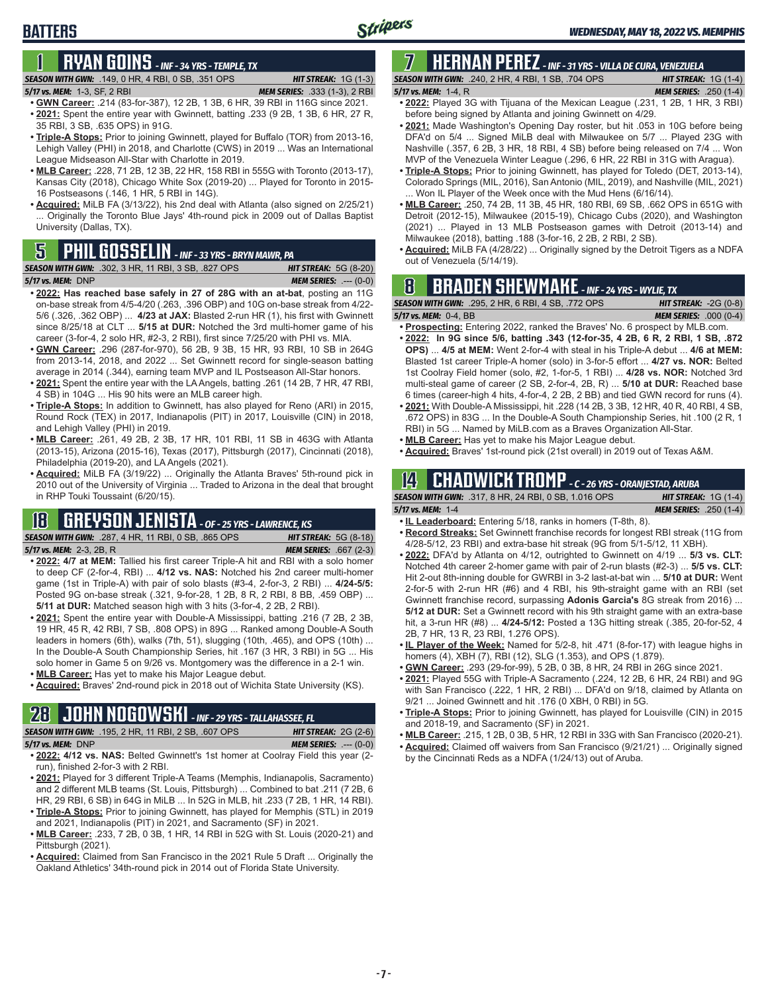### **BATTERS**

# **1 RYAN GOINS** *- INF - 34 YRS - TEMPLE, TX*

*SEASON WITH GWN:*.149, 0 HR, 4 RBI, 0 SB, .351 OPS *HIT STREAK:* 1G (1-3)

*5/17 vs. MEM:*1-3, SF, 2 RBI *MEM SERIES:* .333 (1-3), 2 RBI

- **• GWN Career:** .214 (83-for-387), 12 2B, 1 3B, 6 HR, 39 RBI in 116G since 2021. **• 2021:** Spent the entire year with Gwinnett, batting .233 (9 2B, 1 3B, 6 HR, 27 R, 35 RBI, 3 SB, .635 OPS) in 91G.
- **• Triple-A Stops:** Prior to joining Gwinnett, played for Buffalo (TOR) from 2013-16, Lehigh Valley (PHI) in 2018, and Charlotte (CWS) in 2019 ... Was an International League Midseason All-Star with Charlotte in 2019.
- **• MLB Career:** .228, 71 2B, 12 3B, 22 HR, 158 RBI in 555G with Toronto (2013-17), Kansas City (2018), Chicago White Sox (2019-20) ... Played for Toronto in 2015- 16 Postseasons (.146, 1 HR, 5 RBI in 14G).
- **• Acquired:** MiLB FA (3/13/22), his 2nd deal with Atlanta (also signed on 2/25/21) ... Originally the Toronto Blue Jays' 4th-round pick in 2009 out of Dallas Baptist University (Dallas, TX).

### **PHIL GOSSELIN** - INF - 33 YRS - BRYN MAWR, PA

|                   | <b>SEASON WITH GWN:</b> .302, 3 HR, 11 RBI, 3 SB, .827 OPS . | <b>HIT STREAK: 5G (8-20)</b>   |
|-------------------|--------------------------------------------------------------|--------------------------------|
| 5/17 vs. MEM: DNP |                                                              | <b>MEM SERIES:</b> $--- (0-0)$ |

- **• 2022: Has reached base safely in 27 of 28G with an at-bat**, posting an 11G on-base streak from 4/5-4/20 (.263, .396 OBP) and 10G on-base streak from 4/22- 5/6 (.326, .362 OBP) ... **4/23 at JAX:** Blasted 2-run HR (1), his first with Gwinnett since 8/25/18 at CLT ... **5/15 at DUR:** Notched the 3rd multi-homer game of his career (3-for-4, 2 solo HR, #2-3, 2 RBI), first since 7/25/20 with PHI vs. MIA.
- **• GWN Career:** .296 (287-for-970), 56 2B, 9 3B, 15 HR, 93 RBI, 10 SB in 264G from 2013-14, 2018, and 2022 ... Set Gwinnett record for single-season batting average in 2014 (.344), earning team MVP and IL Postseason All-Star honors.
- **• 2021:** Spent the entire year with the LA Angels, batting .261 (14 2B, 7 HR, 47 RBI, 4 SB) in 104G ... His 90 hits were an MLB career high.
- **• Triple-A Stops:** In addition to Gwinnett, has also played for Reno (ARI) in 2015, Round Rock (TEX) in 2017, Indianapolis (PIT) in 2017, Louisville (CIN) in 2018, and Lehigh Valley (PHI) in 2019.
- **• MLB Career:** .261, 49 2B, 2 3B, 17 HR, 101 RBI, 11 SB in 463G with Atlanta (2013-15), Arizona (2015-16), Texas (2017), Pittsburgh (2017), Cincinnati (2018), Philadelphia (2019-20), and LA Angels (2021).
- **• Acquired:** MiLB FA (3/19/22) ... Originally the Atlanta Braves' 5th-round pick in 2010 out of the University of Virginia ... Traded to Arizona in the deal that brought in RHP Touki Toussaint (6/20/15).

### **18 GREYSON JENISTA** *- OF - 25 YRS - LAWRENCE, KS*

*SEASON WITH GWN:*.287, 4 HR, 11 RBI, 0 SB, .865 OPS *HIT STREAK:* 5G (8-18) *5/17 vs. MEM:*2-3, 2B, R *MEM SERIES:* .667 (2-3)

- **• 2022: 4/7 at MEM:** Tallied his first career Triple-A hit and RBI with a solo homer to deep CF (2-for-4, RBI) ... **4/12 vs. NAS:** Notched his 2nd career multi-homer game (1st in Triple-A) with pair of solo blasts (#3-4, 2-for-3, 2 RBI) ... **4/24-5/5:**  Posted 9G on-base streak (.321, 9-for-28, 1 2B, 8 R, 2 RBI, 8 BB, .459 OBP) ... **5/11 at DUR:** Matched season high with 3 hits (3-for-4, 2 2B, 2 RBI).
- **• 2021:** Spent the entire year with Double-A Mississippi, batting .216 (7 2B, 2 3B, 19 HR, 45 R, 42 RBI, 7 SB, .808 OPS) in 89G ... Ranked among Double-A South leaders in homers (6th), walks (7th, 51), slugging (10th, .465), and OPS (10th) ... In the Double-A South Championship Series, hit .167 (3 HR, 3 RBI) in 5G ... His solo homer in Game 5 on 9/26 vs. Montgomery was the difference in a 2-1 win.
- **• MLB Career:** Has yet to make his Major League debut.
- **• Acquired:** Braves' 2nd-round pick in 2018 out of Wichita State University (KS).

## **28 JOHN NOGOWSKI** *- INF - 29 YRS - TALLAHASSEE, FL*

| <b>SEASON WITH GWN:</b> .195, 2 HR, 11 RBI, 2 SB, .607 OPS | <b>HIT STREAK: 2G (2-6)</b>               |
|------------------------------------------------------------|-------------------------------------------|
| 5/17 vs. MEM: DNP                                          | <b>MEM SERIES: <math>--- (0-0)</math></b> |

- **• 2022: 4/12 vs. NAS:** Belted Gwinnett's 1st homer at Coolray Field this year (2 run), finished 2-for-3 with 2 RBI.
- **• 2021:** Played for 3 different Triple-A Teams (Memphis, Indianapolis, Sacramento) and 2 different MLB teams (St. Louis, Pittsburgh) ... Combined to bat .211 (7 2B, 6 HR, 29 RBI, 6 SB) in 64G in MiLB ... In 52G in MLB, hit .233 (7 2B, 1 HR, 14 RBI).
- **• Triple-A Stops:** Prior to joining Gwinnett, has played for Memphis (STL) in 2019 and 2021, Indianapolis (PIT) in 2021, and Sacramento (SF) in 2021.
- **• MLB Career:** .233, 7 2B, 0 3B, 1 HR, 14 RBI in 52G with St. Louis (2020-21) and Pittsburgh (2021).
- **• Acquired:** Claimed from San Francisco in the 2021 Rule 5 Draft ... Originally the Oakland Athletics' 34th-round pick in 2014 out of Florida State University.

#### **7 HERNAN PEREZ** *- INF - 31 YRS - VILLA DE CURA, VENEZUELA SEASON WITH GWN:*.240, 2 HR, 4 RBI, 1 SB, .704 OPS *HIT STREAK:* 1G (1-4)

- *5/17 vs. MEM:*1-4, R *MEM SERIES:* .250 (1-4) **• 2022:** Played 3G with Tijuana of the Mexican League (.231, 1 2B, 1 HR, 3 RBI) before being signed by Atlanta and joining Gwinnett on 4/29.
- **• 2021:** Made Washington's Opening Day roster, but hit .053 in 10G before being DFA'd on 5/4 ... Signed MiLB deal with Milwaukee on 5/7 ... Played 23G with Nashville (.357, 6 2B, 3 HR, 18 RBI, 4 SB) before being released on 7/4 ... Won MVP of the Venezuela Winter League (.296, 6 HR, 22 RBI in 31G with Aragua).
- **• Triple-A Stops:** Prior to joining Gwinnett, has played for Toledo (DET, 2013-14), Colorado Springs (MIL, 2016), San Antonio (MIL, 2019), and Nashville (MIL, 2021) ... Won IL Player of the Week once with the Mud Hens (6/16/14).
- **• MLB Career:** .250, 74 2B, 11 3B, 45 HR, 180 RBI, 69 SB, .662 OPS in 651G with Detroit (2012-15), Milwaukee (2015-19), Chicago Cubs (2020), and Washington (2021) ... Played in 13 MLB Postseason games with Detroit (2013-14) and Milwaukee (2018), batting .188 (3-for-16, 2 2B, 2 RBI, 2 SB).
- **• Acquired:** MiLB FA (4/28/22) ... Originally signed by the Detroit Tigers as a NDFA

## **8 BRADEN SHEWMAKE** *- INF - 24 YRS - WYLIE, TX*

*SEASON WITH GWN:*.295, 2 HR, 6 RBI, 4 SB, .772 OPS *HIT STREAK:* -2G (0-8)

- *5/17 vs. MEM:*0-4, BB *MEM SERIES:* .000 (0-4) **• Prospecting:** Entering 2022, ranked the Braves' No. 6 prospect by MLB.com.
- **• 2022: In 9G since 5/6, batting .343 (12-for-35, 4 2B, 6 R, 2 RBI, 1 SB, .872 OPS)** ... **4/5 at MEM:** Went 2-for-4 with steal in his Triple-A debut ... **4/6 at MEM:**  Blasted 1st career Triple-A homer (solo) in 3-for-5 effort ... **4/27 vs. NOR:** Belted 1st Coolray Field homer (solo, #2, 1-for-5, 1 RBI) ... **4/28 vs. NOR:** Notched 3rd multi-steal game of career (2 SB, 2-for-4, 2B, R) ... **5/10 at DUR:** Reached base 6 times (career-high 4 hits, 4-for-4, 2 2B, 2 BB) and tied GWN record for runs (4).
- **• 2021:** With Double-A Mississippi, hit .228 (14 2B, 3 3B, 12 HR, 40 R, 40 RBI, 4 SB, .672 OPS) in 83G ... In the Double-A South Championship Series, hit .100 (2 R, 1 RBI) in 5G ... Named by MiLB.com as a Braves Organization All-Star.
- **• MLB Career:** Has yet to make his Major League debut.
- **• Acquired:** Braves' 1st-round pick (21st overall) in 2019 out of Texas A&M.

## **14 CHADWICK TROMP** *- C - 26 YRS - ORANJESTAD, ARUBA*

#### *SEASON WITH GWN:*.317, 8 HR, 24 RBI, 0 SB, 1.016 OPS *HIT STREAK:* 1G (1-4)

- *5/17 vs. MEM:*1-4 *MEM SERIES:* .250 (1-4)
- **• IL Leaderboard:** Entering 5/18, ranks in homers (T-8th, 8). **• Record Streaks:** Set Gwinnett franchise records for longest RBI streak (11G from
- 4/28-5/12, 23 RBI) and extra-base hit streak (9G from 5/1-5/12, 11 XBH).
- **• 2022:** DFA'd by Atlanta on 4/12, outrighted to Gwinnett on 4/19 ... **5/3 vs. CLT:** Notched 4th career 2-homer game with pair of 2-run blasts (#2-3) ... **5/5 vs. CLT:** Hit 2-out 8th-inning double for GWRBI in 3-2 last-at-bat win ... **5/10 at DUR:** Went 2-for-5 with 2-run HR (#6) and 4 RBI, his 9th-straight game with an RBI (set Gwinnett franchise record, surpassing **Adonis Garcia's** 8G streak from 2016) ... **5/12 at DUR:** Set a Gwinnett record with his 9th straight game with an extra-base hit, a 3-run HR (#8) ... **4/24-5/12:** Posted a 13G hitting streak (.385, 20-for-52, 4 2B, 7 HR, 13 R, 23 RBI, 1.276 OPS).
- **• IL Player of the Week:** Named for 5/2-8, hit .471 (8-for-17) with league highs in homers (4), XBH (7), RBI (12), SLG (1.353), and OPS (1.879).
- **• GWN Career:** .293 (29-for-99), 5 2B, 0 3B, 8 HR, 24 RBI in 26G since 2021.
- **• 2021:** Played 55G with Triple-A Sacramento (.224, 12 2B, 6 HR, 24 RBI) and 9G with San Francisco (.222, 1 HR, 2 RBI) ... DFA'd on 9/18, claimed by Atlanta on 9/21 ... Joined Gwinnett and hit .176 (0 XBH, 0 RBI) in 5G.
- **• Triple-A Stops:** Prior to joining Gwinnett, has played for Louisville (CIN) in 2015 and 2018-19, and Sacramento (SF) in 2021.
- **• MLB Career:** .215, 1 2B, 0 3B, 5 HR, 12 RBI in 33G with San Francisco (2020-21).
- **• Acquired:** Claimed off waivers from San Francisco (9/21/21) ... Originally signed by the Cincinnati Reds as a NDFA (1/24/13) out of Aruba.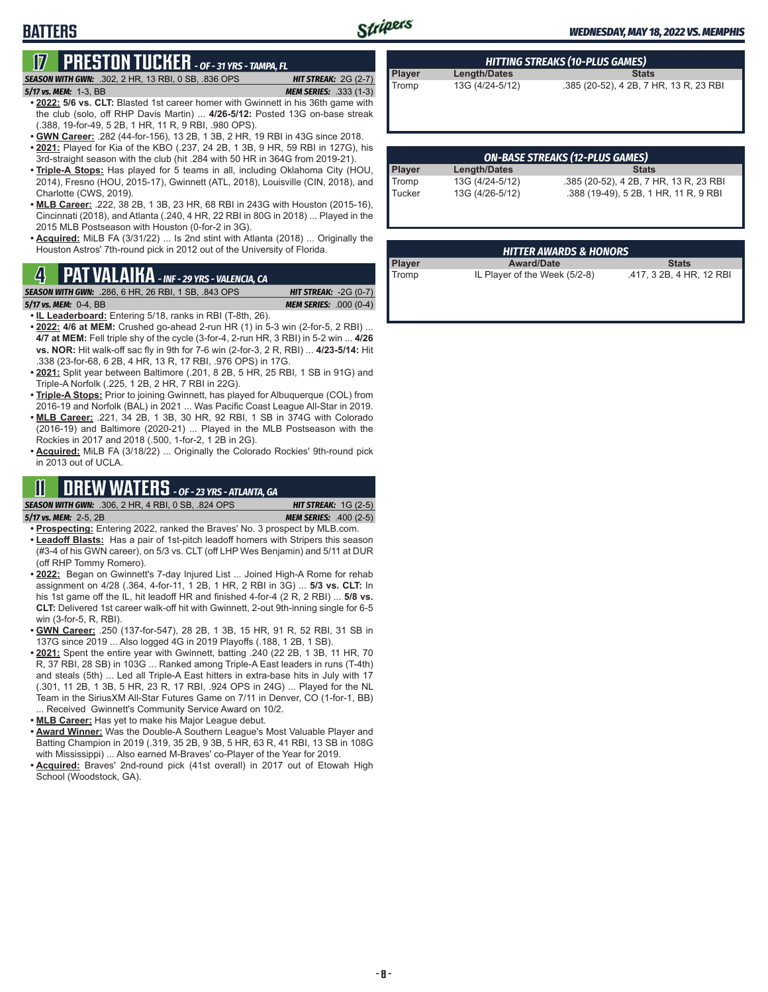# Stripers

#### *WEDNESDAY, MAY 18, 2022 VS. MEMPHIS*

# **17 PRESTON TUCKER** *- OF - 31 YRS - TAMPA, FL*

#### *5/17 vs. MEM:*1-3, BB *MEM SERIES:* .333 (1-3)

**BATTERS**

*SEASON WITH GWN:*.302, 2 HR, 13 RBI, 0 SB, .836 OPS *HIT STREAK:* 2G (2-7)

- **• 2022: 5/6 vs. CLT:** Blasted 1st career homer with Gwinnett in his 36th game with the club (solo, off RHP Davis Martin) ... **4/26-5/12:** Posted 13G on-base streak (.388, 19-for-49, 5 2B, 1 HR, 11 R, 9 RBI, .980 OPS).
- **• GWN Career:** .282 (44-for-156), 13 2B, 1 3B, 2 HR, 19 RBI in 43G since 2018. **• 2021:** Played for Kia of the KBO (.237, 24 2B, 1 3B, 9 HR, 59 RBI in 127G), his
- 3rd-straight season with the club (hit .284 with 50 HR in 364G from 2019-21). **• Triple-A Stops:** Has played for 5 teams in all, including Oklahoma City (HOU,
- 2014), Fresno (HOU, 2015-17), Gwinnett (ATL, 2018), Louisville (CIN, 2018), and Charlotte (CWS, 2019).
- **• MLB Career:** .222, 38 2B, 1 3B, 23 HR, 68 RBI in 243G with Houston (2015-16), Cincinnati (2018), and Atlanta (.240, 4 HR, 22 RBI in 80G in 2018) ... Played in the 2015 MLB Postseason with Houston (0-for-2 in 3G).
- **• Acquired:** MiLB FA (3/31/22) ... Is 2nd stint with Atlanta (2018) ... Originally the Houston Astros' 7th-round pick in 2012 out of the University of Florida.

# **Player award/Date Stats PAT VALAIKA** *- INF - 29 YRS - VALENCIA, CA* **Player Player** *Award/Date**Award/Date**Stats* **Tromp IL Player of the Week (5/2-8) .417, 3 2B, 4 HR, 12 RBI** *ASON WITH GWN:* **.286, 6 HR, 26 RBI,**

**SEASON WITH GWN:** .286, 6 HR, 26 RBI, 1 SB, .843 OPS

- *5/17 vs. MEM:*0-4, BB *MEM SERIES:* .000 (0-4)
- **• IL Leaderboard:** Entering 5/18, ranks in RBI (T-8th, 26).
- **• 2022: 4/6 at MEM:** Crushed go-ahead 2-run HR (1) in 5-3 win (2-for-5, 2 RBI) ... **4/7 at MEM:** Fell triple shy of the cycle (3-for-4, 2-run HR, 3 RBI) in 5-2 win ... **4/26 vs. NOR:** Hit walk-off sac fly in 9th for 7-6 win (2-for-3, 2 R, RBI) ... **4/23-5/14:** Hit .338 (23-for-68, 6 2B, 4 HR, 13 R, 17 RBI, .976 OPS) in 17G.
- **• 2021:** Split year between Baltimore (.201, 8 2B, 5 HR, 25 RBI, 1 SB in 91G) and Triple-A Norfolk (.225, 1 2B, 2 HR, 7 RBI in 22G).
- **• Triple-A Stops:** Prior to joining Gwinnett, has played for Albuquerque (COL) from 2016-19 and Norfolk (BAL) in 2021 ... Was Pacific Coast League All-Star in 2019.
- **• MLB Career:** .221, 34 2B, 1 3B, 30 HR, 92 RBI, 1 SB in 374G with Colorado (2016-19) and Baltimore (2020-21) ... Played in the MLB Postseason with the Rockies in 2017 and 2018 (.500, 1-for-2, 1 2B in 2G).
- **• Acquired:** MiLB FA (3/18/22) ... Originally the Colorado Rockies' 9th-round pick in 2013 out of UCLA.

### **11 DREW WATERS** *- OF - 23 YRS - ATLANTA, GA*

| <b>SEASON WITH GWN:</b> .306, 2 HR, 4 RBI, 0 SB, .824 OPS <b>1</b> | <b>HIT STREAK:</b> $1G(2-5)$  |
|--------------------------------------------------------------------|-------------------------------|
| 5/17 vs. MEM: 2-5, 2B                                              | <b>MEM SERIES: .400 (2-5)</b> |

- **• Prospecting:** Entering 2022, ranked the Braves' No. 3 prospect by MLB.com. **• Leadoff Blasts:** Has a pair of 1st-pitch leadoff homers with Stripers this season
- (#3-4 of his GWN career), on 5/3 vs. CLT (off LHP Wes Benjamin) and 5/11 at DUR (off RHP Tommy Romero).
- **• 2022:** Began on Gwinnett's 7-day Injured List ... Joined High-A Rome for rehab assignment on 4/28 (.364, 4-for-11, 1 2B, 1 HR, 2 RBI in 3G) ... **5/3 vs. CLT:** In his 1st game off the IL, hit leadoff HR and finished 4-for-4 (2 R, 2 RBI) ... **5/8 vs. CLT:** Delivered 1st career walk-off hit with Gwinnett, 2-out 9th-inning single for 6-5 win (3-for-5, R, RBI).
- **• GWN Career:** .250 (137-for-547), 28 2B, 1 3B, 15 HR, 91 R, 52 RBI, 31 SB in 137G since 2019 ... Also logged 4G in 2019 Playoffs (.188, 1 2B, 1 SB).
- **• 2021:** Spent the entire year with Gwinnett, batting .240 (22 2B, 1 3B, 11 HR, 70 R, 37 RBI, 28 SB) in 103G ... Ranked among Triple-A East leaders in runs (T-4th) and steals (5th) ... Led all Triple-A East hitters in extra-base hits in July with 17 (.301, 11 2B, 1 3B, 5 HR, 23 R, 17 RBI, .924 OPS in 24G) ... Played for the NL Team in the SiriusXM All-Star Futures Game on 7/11 in Denver, CO (1-for-1, BB) ... Received Gwinnett's Community Service Award on 10/2.
- **• MLB Career:** Has yet to make his Major League debut.
- **• Award Winner:** Was the Double-A Southern League's Most Valuable Player and Batting Champion in 2019 (.319, 35 2B, 9 3B, 5 HR, 63 R, 41 RBI, 13 SB in 108G with Mississippi) ... Also earned M-Braves' co-Player of the Year for 2019.
- **• Acquired:** Braves' 2nd-round pick (41st overall) in 2017 out of Etowah High School (Woodstock, GA).

| ON DACE CTDEAVE (12 DILIC CAMEC) |                 |                                        |  |
|----------------------------------|-----------------|----------------------------------------|--|
|                                  |                 |                                        |  |
|                                  |                 |                                        |  |
| Tromp                            | 13G (4/24-5/12) | .385 (20-52), 4 2B, 7 HR, 13 R, 23 RBI |  |

**Player Length/Dates Stats**

*HITTING STREAKS (10-PLUS GAMES)*

| UN-DASE STREARS (IZ-PLUS UAMES) |                 |                                        |  |  |
|---------------------------------|-----------------|----------------------------------------|--|--|
| <b>Player</b>                   | Length/Dates    | <b>Stats</b>                           |  |  |
| Tromp                           | 13G (4/24-5/12) | .385 (20-52), 4 2B, 7 HR, 13 R, 23 RBI |  |  |
| Tucker                          | 13G (4/26-5/12) | .388 (19-49), 5 2B, 1 HR, 11 R, 9 RBI  |  |  |

### *ON-BASE STREAKS (12-PLUS GAMES)* .388 (19-49), 5 2B, 1 HR, 11 R, 9 RBI

| <b>HITTER AWARDS &amp; HONORS</b>                  |  |              |                            |
|----------------------------------------------------|--|--------------|----------------------------|
| <b>Award/Date</b>                                  |  | <b>Stats</b> |                            |
| $H = D1 - \cdots - L1$ . $M = M - L$ . $F / G = N$ |  |              | $117.00$ $110.10$ $10.001$ |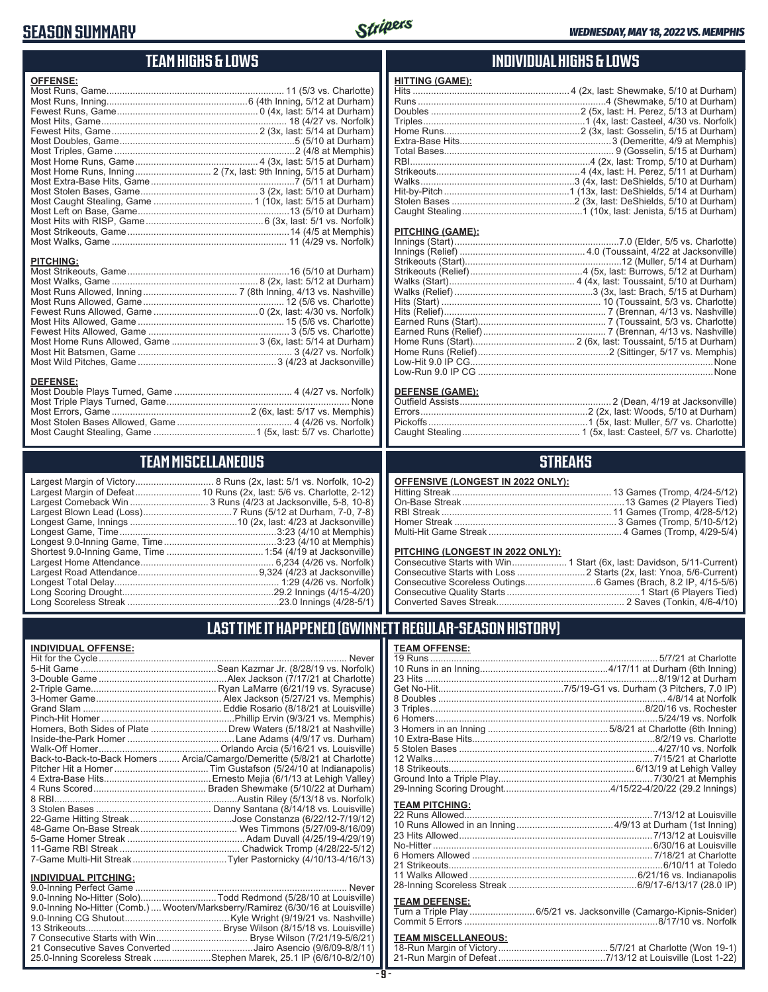#### **SEASON SUMMARY**



### **TEAM HIGHS & LOWS**

| <b>OFFENSE:</b>  |  |
|------------------|--|
|                  |  |
|                  |  |
|                  |  |
|                  |  |
|                  |  |
|                  |  |
|                  |  |
|                  |  |
|                  |  |
|                  |  |
|                  |  |
|                  |  |
|                  |  |
|                  |  |
|                  |  |
|                  |  |
|                  |  |
| <b>PITCHING:</b> |  |
|                  |  |
|                  |  |

#### **DEFENSE:**

### **TEAM MISCELLANEOUS**

| Largest Margin of Victory       |
|---------------------------------|
| Largest Margin of Defeat        |
| Largest Comeback Win            |
| Largest Blown Lead (Loss)       |
| Longest Game, Innings           |
| Longest Game, Time              |
| Longest 9.0-Inning Game, Time   |
| Shortest 9.0-Inning Game, Time. |
| Largest Home Attendance         |
| Largest Road Attendance         |
| Longest Total Delay             |
| Long Scoring Drought            |
| Long Scoreless Streak           |

Largest Margin of Victory.............................. 8 Runs (2x, last: 5/1 vs. Norfolk, 10-2) Largest Margin of Defeat......................... 10 Runs (2x, last: 5/6 vs. Charlotte, 2-12) ................... 3 Runs (4/23 at Jacksonville, 5-8, 10-8) Largest Blown Lead (Loss) ..................................7 Runs (5/12 at Durham, 7-0, 7-8) .............................10 (2x, ُlast: 4/23 at Jacksonville) Longest Game, Time ............................................................3:23 (4/10 at Memphis) Longest 9.0-Inning Game, Time ...........................................3:23 (4/10 at Memphis) Shortest 9.0-Inning Game, Time .....................................1:54 (4/19 at Jacksonville) Largest Home Attendance ................................................... 6,234 (4/26 vs. Norfolk) Largest Road Attendance ..............................................9,324 (4/23 at Jacksonville) Longest Total Delay............................................................... 1:29 (4/26 vs. Norfolk) Long Scoring Drought..........................................................29.2 Innings (4/15-4/20) Long Scoreless Streak ..........................................................23.0 Innings (4/28-5/1)

#### **INDIVIDUAL HIGHS & LOWS**

| HITTING (GAME): |                                                                       |
|-----------------|-----------------------------------------------------------------------|
|                 |                                                                       |
|                 |                                                                       |
|                 |                                                                       |
|                 |                                                                       |
|                 |                                                                       |
|                 |                                                                       |
|                 |                                                                       |
|                 |                                                                       |
|                 |                                                                       |
|                 |                                                                       |
|                 |                                                                       |
|                 |                                                                       |
|                 | Caught Stealing…………………………………………1 (10x, last: Jenista, 5/15 at Durham) |
|                 |                                                                       |

#### **PITCHING (GAME):**

#### **DEFENSE (GAME):**

#### **STREAKS**

| OFFENSIVE (LONGEST IN 2022 ONLY): |
|-----------------------------------|
|                                   |

#### **PITCHING (LONGEST IN 2022 ONLY):**

#### **LAST TIME IT HAPPENED (GWINNETT REGULAR-SEASON HISTORY)**

#### **INDIVIDUAL OFFENSE:**

|                                                                                                                               | Homers, Both Sides of Plate  Drew Waters (5/18/21 at Nashville)            |
|-------------------------------------------------------------------------------------------------------------------------------|----------------------------------------------------------------------------|
|                                                                                                                               |                                                                            |
|                                                                                                                               |                                                                            |
|                                                                                                                               | Back-to-Back-to-Back Homers  Arcia/Camargo/Demeritte (5/8/21 at Charlotte) |
|                                                                                                                               |                                                                            |
|                                                                                                                               |                                                                            |
|                                                                                                                               |                                                                            |
|                                                                                                                               |                                                                            |
|                                                                                                                               |                                                                            |
|                                                                                                                               |                                                                            |
|                                                                                                                               |                                                                            |
|                                                                                                                               |                                                                            |
|                                                                                                                               |                                                                            |
|                                                                                                                               |                                                                            |
| <b>INDIVIDUAL PITCHING:</b>                                                                                                   |                                                                            |
| $\bigcap_{i=1}^n A_i$ and $\bigcap_{i=1}^n A_i$ and $\bigcap_{i=1}^n A_i$ and $\bigcap_{i=1}^n A_i$ and $\bigcap_{i=1}^n A_i$ | $k + 1 - 1 - 1$                                                            |

| 9.0-Inning No-Hitter (Solo)Todd Redmond (5/28/10 at Louisville)                |  |
|--------------------------------------------------------------------------------|--|
| 9.0-Inning No-Hitter (Comb.) Wooten/Marksberry/Ramirez (6/30/16 at Louisville) |  |
|                                                                                |  |
|                                                                                |  |
|                                                                                |  |
| 21 Consecutive Saves Converted Jairo Asencio (9/6/09-8/8/11)                   |  |
| 25.0-Inning Scoreless Streak Stephen Marek, 25.1 IP (6/6/10-8/2/10)            |  |
|                                                                                |  |

# **TEAM OFFENSE:**

| <b>TEAM PITCHING:</b>      |                                                                     |
|----------------------------|---------------------------------------------------------------------|
|                            |                                                                     |
|                            |                                                                     |
|                            | 23 Hits Allowed…………………………………………………………………7/13/12 at Louisville       |
|                            |                                                                     |
|                            |                                                                     |
|                            |                                                                     |
|                            |                                                                     |
|                            |                                                                     |
|                            |                                                                     |
| <b>TEAM DEFENSE:</b>       |                                                                     |
|                            | Turn a Triple Play  6/5/21 vs. Jacksonville (Camargo-Kipnis-Snider) |
|                            |                                                                     |
| <b>TEAM MISCELLANEOUS:</b> |                                                                     |
|                            |                                                                     |
|                            |                                                                     |

21-Run Margin of Defeat .........................................7/13/12 at Louisville (Lost 1-22)